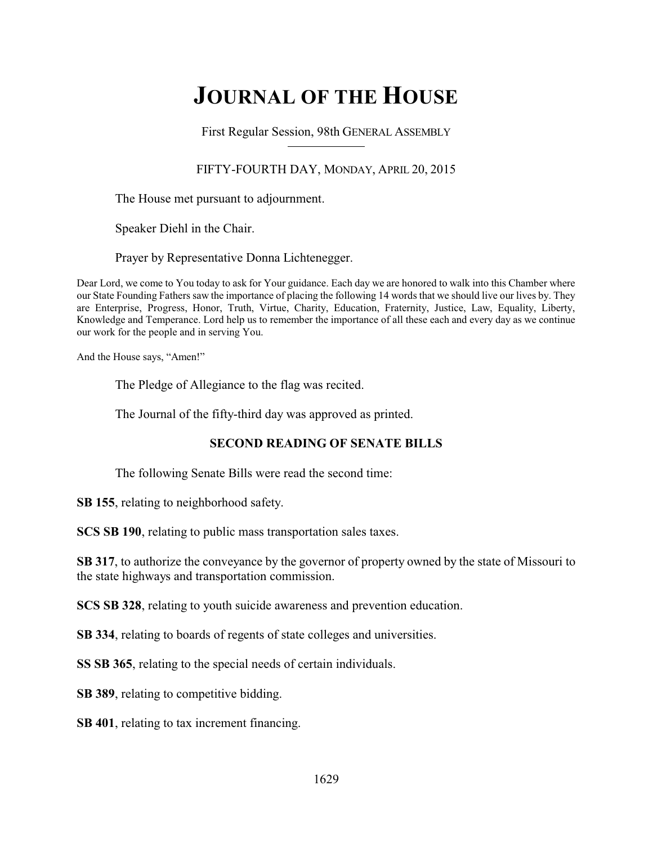# **JOURNAL OF THE HOUSE**

First Regular Session, 98th GENERAL ASSEMBLY

### FIFTY-FOURTH DAY, MONDAY, APRIL 20, 2015

The House met pursuant to adjournment.

Speaker Diehl in the Chair.

Prayer by Representative Donna Lichtenegger.

Dear Lord, we come to You today to ask for Your guidance. Each day we are honored to walk into this Chamber where our State Founding Fathers saw the importance of placing the following 14 words that we should live our lives by. They are Enterprise, Progress, Honor, Truth, Virtue, Charity, Education, Fraternity, Justice, Law, Equality, Liberty, Knowledge and Temperance. Lord help us to remember the importance of all these each and every day as we continue our work for the people and in serving You.

And the House says, "Amen!"

The Pledge of Allegiance to the flag was recited.

The Journal of the fifty-third day was approved as printed.

### **SECOND READING OF SENATE BILLS**

The following Senate Bills were read the second time:

**SB 155**, relating to neighborhood safety.

**SCS SB 190**, relating to public mass transportation sales taxes.

**SB 317**, to authorize the conveyance by the governor of property owned by the state of Missouri to the state highways and transportation commission.

**SCS SB 328**, relating to youth suicide awareness and prevention education.

**SB 334**, relating to boards of regents of state colleges and universities.

**SS SB 365**, relating to the special needs of certain individuals.

**SB 389**, relating to competitive bidding.

**SB 401**, relating to tax increment financing.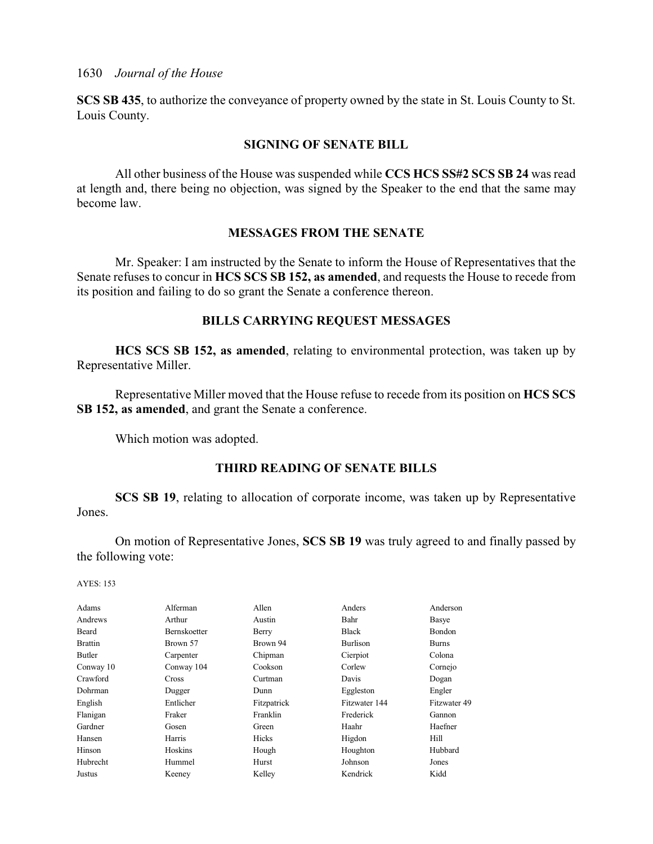**SCS SB 435**, to authorize the conveyance of property owned by the state in St. Louis County to St. Louis County.

### **SIGNING OF SENATE BILL**

All other business of the House was suspended while **CCS HCS SS#2 SCS SB 24** was read at length and, there being no objection, was signed by the Speaker to the end that the same may become law.

### **MESSAGES FROM THE SENATE**

Mr. Speaker: I am instructed by the Senate to inform the House of Representatives that the Senate refuses to concur in **HCS SCS SB 152, as amended**, and requests the House to recede from its position and failing to do so grant the Senate a conference thereon.

### **BILLS CARRYING REQUEST MESSAGES**

**HCS SCS SB 152, as amended**, relating to environmental protection, was taken up by Representative Miller.

Representative Miller moved that the House refuse to recede from its position on **HCS SCS SB 152, as amended**, and grant the Senate a conference.

Which motion was adopted.

### **THIRD READING OF SENATE BILLS**

**SCS SB 19**, relating to allocation of corporate income, was taken up by Representative Jones.

On motion of Representative Jones, **SCS SB 19** was truly agreed to and finally passed by the following vote:

| Alferman            | Allen       | Anders        | Anderson      |
|---------------------|-------------|---------------|---------------|
| Arthur              | Austin      | Bahr          | Basye         |
| <b>Bernskoetter</b> | Berry       | <b>Black</b>  | <b>Bondon</b> |
| Brown 57            | Brown 94    | Burlison      | <b>Burns</b>  |
| Carpenter           | Chipman     | Cierpiot      | Colona        |
| Conway 104          | Cookson     | Corlew        | Cornejo       |
| <b>Cross</b>        | Curtman     | Davis         | Dogan         |
| Dugger              | Dunn        | Eggleston     | Engler        |
| Entlicher           | Fitzpatrick | Fitzwater 144 | Fitzwater 49  |
| Fraker              | Franklin    | Frederick     | Gannon        |
| Gosen               | Green       | Haahr         | Haefner       |
| Harris              | Hicks       | Higdon        | Hill          |
| Hoskins             | Hough       | Houghton      | Hubbard       |
| Hummel              | Hurst       | Johnson       | Jones         |
| Keeney              | Kelley      | Kendrick      | Kidd          |
|                     |             |               |               |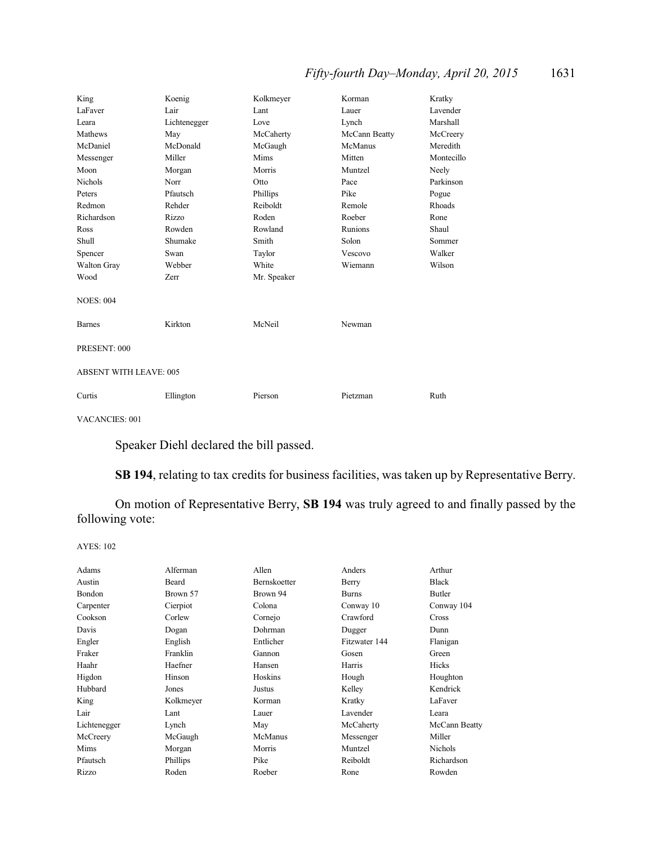# *Fifty-fourth Day–Monday, April 20, 2015* 1631

| King                          | Koenig       | Kolkmeyer   | Korman        | Kratky     |
|-------------------------------|--------------|-------------|---------------|------------|
| LaFaver                       | Lair         | Lant        | Lauer         | Lavender   |
| Leara                         | Lichtenegger | Love        | Lynch         | Marshall   |
| Mathews                       | May          | McCaherty   | McCann Beatty | McCreery   |
| McDaniel                      | McDonald     | McGaugh     | McManus       | Meredith   |
| Messenger                     | Miller       | Mims        | Mitten        | Montecillo |
| Moon                          | Morgan       | Morris      | Muntzel       | Neely      |
| <b>Nichols</b>                | Norr         | Otto        | Pace          | Parkinson  |
| Peters                        | Pfautsch     | Phillips    | Pike          | Pogue      |
| Redmon                        | Rehder       | Reiboldt    | Remole        | Rhoads     |
| Richardson                    | Rizzo        | Roden       | Roeber        | Rone       |
| Ross                          | Rowden       | Rowland     | Runions       | Shaul      |
| Shull                         | Shumake      | Smith       | Solon         | Sommer     |
| Spencer                       | Swan         | Taylor      | Vescovo       | Walker     |
| Walton Gray                   | Webber       | White       | Wiemann       | Wilson     |
| Wood                          | Zerr         | Mr. Speaker |               |            |
| <b>NOES: 004</b>              |              |             |               |            |
| <b>Barnes</b>                 | Kirkton      | McNeil      | Newman        |            |
| PRESENT: 000                  |              |             |               |            |
| <b>ABSENT WITH LEAVE: 005</b> |              |             |               |            |
| Curtis                        | Ellington    | Pierson     | Pietzman      | Ruth       |

VACANCIES: 001

Speaker Diehl declared the bill passed.

**SB 194**, relating to tax credits for business facilities, was taken up by Representative Berry.

On motion of Representative Berry, **SB 194** was truly agreed to and finally passed by the following vote:

| Adams        | Alferman  | Allen        | Anders        | Arthur         |
|--------------|-----------|--------------|---------------|----------------|
| Austin       | Beard     | Bernskoetter | Berry         | <b>Black</b>   |
| Bondon       | Brown 57  | Brown 94     | <b>Burns</b>  | Butler         |
| Carpenter    | Cierpiot  | Colona       | Conway 10     | Conway 104     |
| Cookson      | Corlew    | Cornejo      | Crawford      | Cross          |
| Davis        | Dogan     | Dohrman      | Dugger        | Dunn           |
| Engler       | English   | Entlicher    | Fitzwater 144 | Flanigan       |
| Fraker       | Franklin  | Gannon       | Gosen         | Green          |
| Haahr        | Haefner   | Hansen       | Harris        | Hicks          |
| Higdon       | Hinson    | Hoskins      | Hough         | Houghton       |
| Hubbard      | Jones     | Justus       | Kelley        | Kendrick       |
| King         | Kolkmeyer | Korman       | Kratky        | LaFaver        |
| Lair         | Lant      | Lauer        | Lavender      | Leara          |
| Lichtenegger | Lynch     | May          | McCaherty     | McCann Beatty  |
| McCreery     | McGaugh   | McManus      | Messenger     | Miller         |
| Mims         | Morgan    | Morris       | Muntzel       | <b>Nichols</b> |
| Pfautsch     | Phillips  | Pike         | Reiboldt      | Richardson     |
| Rizzo        | Roden     | Roeber       | Rone          | Rowden         |
|              |           |              |               |                |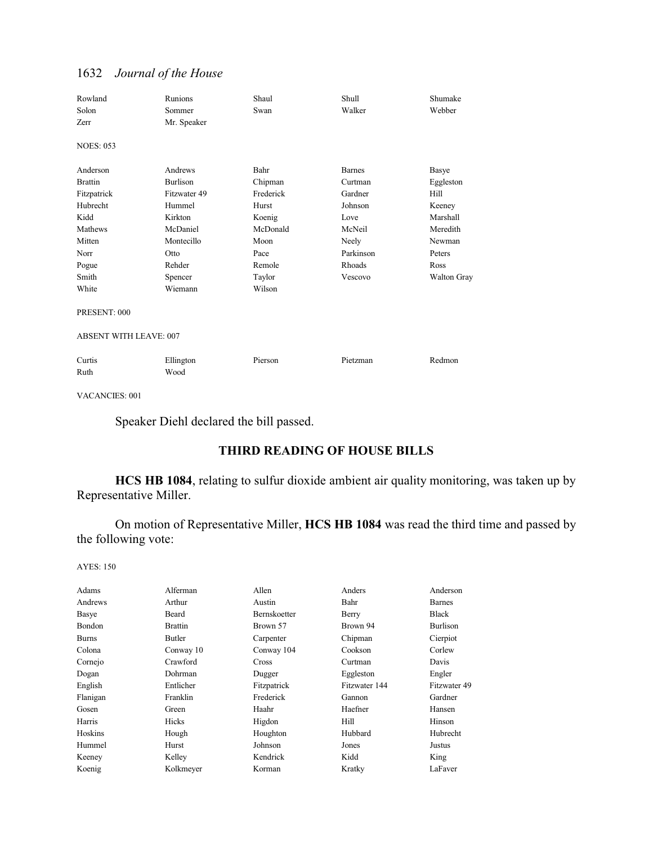| Rowland<br>Solon<br>Zerr      | Runions<br>Sommer<br>Mr. Speaker | Shaul<br>Swan | Shull<br>Walker | Shumake<br>Webber  |
|-------------------------------|----------------------------------|---------------|-----------------|--------------------|
| <b>NOES: 053</b>              |                                  |               |                 |                    |
| Anderson                      | Andrews                          | Bahr          | <b>Barnes</b>   | Basye              |
| <b>Brattin</b>                | Burlison                         | Chipman       | Curtman         | Eggleston          |
| Fitzpatrick                   | Fitzwater 49                     | Frederick     | Gardner         | Hill               |
| Hubrecht                      | Hummel                           | Hurst         | Johnson         | Keeney             |
| Kidd                          | Kirkton                          | Koenig        | Love            | Marshall           |
| Mathews                       | McDaniel                         | McDonald      | McNeil          | Meredith           |
| Mitten                        | Montecillo                       | Moon          | Neely           | Newman             |
| Norr                          | Otto                             | Pace          | Parkinson       | Peters             |
| Pogue                         | Rehder                           | Remole        | Rhoads          | Ross               |
| Smith                         | Spencer                          | Taylor        | Vescovo         | <b>Walton Gray</b> |
| White                         | Wiemann                          | Wilson        |                 |                    |
| PRESENT: 000                  |                                  |               |                 |                    |
| <b>ABSENT WITH LEAVE: 007</b> |                                  |               |                 |                    |
| Curtis                        | Ellington                        | Pierson       | Pietzman        | Redmon             |
| Ruth                          | Wood                             |               |                 |                    |

VACANCIES: 001

Speaker Diehl declared the bill passed.

# **THIRD READING OF HOUSE BILLS**

**HCS HB 1084**, relating to sulfur dioxide ambient air quality monitoring, was taken up by Representative Miller.

On motion of Representative Miller, **HCS HB 1084** was read the third time and passed by the following vote:

| Adams        | Alferman       | Allen               | Anders        | Anderson      |
|--------------|----------------|---------------------|---------------|---------------|
| Andrews      | Arthur         | Austin              | Bahr          | <b>Barnes</b> |
| Basye        | Beard          | <b>Bernskoetter</b> | Berry         | Black         |
| Bondon       | <b>Brattin</b> | Brown 57            | Brown 94      | Burlison      |
| <b>Burns</b> | Butler         | Carpenter           | Chipman       | Cierpiot      |
| Colona       | Conway 10      | Conway 104          | Cookson       | Corlew        |
| Cornejo      | Crawford       | <b>Cross</b>        | Curtman       | Davis         |
| Dogan        | Dohrman        | Dugger              | Eggleston     | Engler        |
| English      | Entlicher      | Fitzpatrick         | Fitzwater 144 | Fitzwater 49  |
| Flanigan     | Franklin       | Frederick           | Gannon        | Gardner       |
| Gosen        | Green          | Haahr               | Haefner       | Hansen        |
| Harris       | Hicks          | Higdon              | Hill          | Hinson        |
| Hoskins      | Hough          | Houghton            | Hubbard       | Hubrecht      |
| Hummel       | Hurst          | Johnson             | Jones         | Justus        |
| Keeney       | Kelley         | Kendrick            | Kidd          | King          |
| Koenig       | Kolkmeyer      | Korman              | Kratky        | LaFaver       |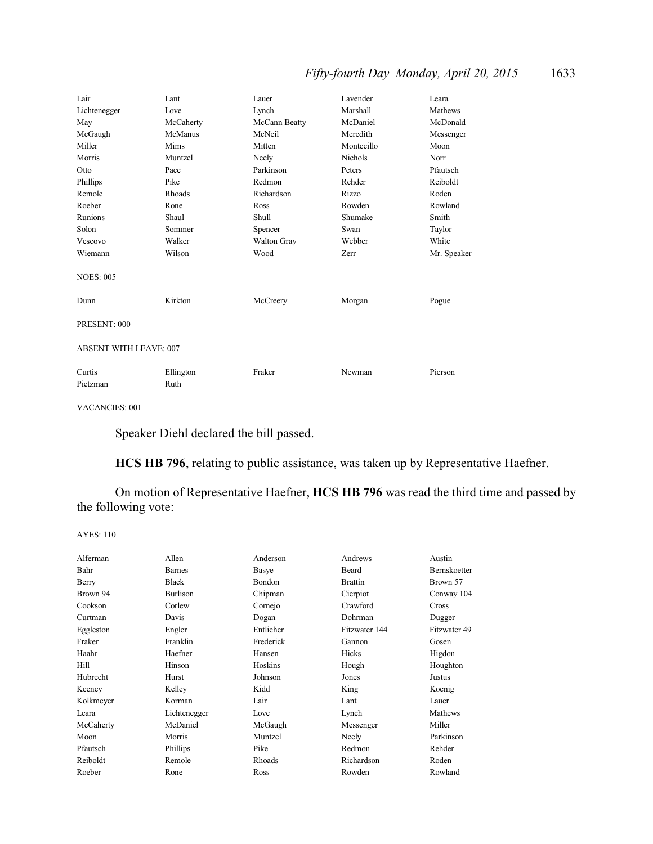# *Fifty-fourth Day–Monday, April 20, 2015* 1633

| Lair                          | Lant      | Lauer         | Lavender       | Leara       |
|-------------------------------|-----------|---------------|----------------|-------------|
| Lichtenegger                  | Love      | Lynch         | Marshall       | Mathews     |
| May                           | McCaherty | McCann Beatty | McDaniel       | McDonald    |
| McGaugh                       | McManus   | McNeil        | Meredith       | Messenger   |
| Miller                        | Mims      | Mitten        | Montecillo     | Moon        |
| Morris                        | Muntzel   | Neely         | <b>Nichols</b> | Norr        |
| Otto                          | Pace      | Parkinson     | Peters         | Pfautsch    |
| Phillips                      | Pike      | Redmon        | Rehder         | Reiboldt    |
| Remole                        | Rhoads    | Richardson    | Rizzo          | Roden       |
| Roeber                        | Rone      | Ross          | Rowden         | Rowland     |
| Runions                       | Shaul     | Shull         | Shumake        | Smith       |
| Solon                         | Sommer    | Spencer       | Swan           | Taylor      |
| Vescovo                       | Walker    | Walton Gray   | Webber         | White       |
| Wiemann                       | Wilson    | Wood          | Zerr           | Mr. Speaker |
| <b>NOES: 005</b>              |           |               |                |             |
| Dunn                          | Kirkton   | McCreery      | Morgan         | Pogue       |
| PRESENT: 000                  |           |               |                |             |
| <b>ABSENT WITH LEAVE: 007</b> |           |               |                |             |
| Curtis                        | Ellington | Fraker        | Newman         | Pierson     |
| Pietzman                      | Ruth      |               |                |             |

VACANCIES: 001

Speaker Diehl declared the bill passed.

**HCS HB 796**, relating to public assistance, was taken up by Representative Haefner.

On motion of Representative Haefner, **HCS HB 796** was read the third time and passed by the following vote:

| Alferman  | Allen           | Anderson      | Andrews        | Austin              |
|-----------|-----------------|---------------|----------------|---------------------|
| Bahr      | <b>Barnes</b>   | Basye         | Beard          | <b>Bernskoetter</b> |
| Berry     | <b>Black</b>    | <b>Bondon</b> | <b>Brattin</b> | Brown 57            |
| Brown 94  | <b>Burlison</b> | Chipman       | Cierpiot       | Conway 104          |
| Cookson   | Corlew          | Cornejo       | Crawford       | Cross               |
| Curtman   | Davis           | Dogan         | Dohrman        | Dugger              |
| Eggleston | Engler          | Entlicher     | Fitzwater 144  | Fitzwater 49        |
| Fraker    | Franklin        | Frederick     | Gannon         | Gosen               |
| Haahr     | Haefner         | Hansen        | Hicks          | Higdon              |
| Hill      | Hinson          | Hoskins       | Hough          | Houghton            |
| Hubrecht  | Hurst           | Johnson       | Jones          | Justus              |
| Keeney    | Kelley          | Kidd          | King           | Koenig              |
| Kolkmeyer | Korman          | Lair          | Lant           | Lauer               |
| Leara     | Lichtenegger    | Love          | Lynch          | Mathews             |
| McCaherty | McDaniel        | McGaugh       | Messenger      | Miller              |
| Moon      | Morris          | Muntzel       | Neely          | Parkinson           |
| Pfautsch  | <b>Phillips</b> | Pike          | Redmon         | Rehder              |
| Reiboldt  | Remole          | <b>Rhoads</b> | Richardson     | Roden               |
| Roeber    | Rone            | Ross          | Rowden         | Rowland             |
|           |                 |               |                |                     |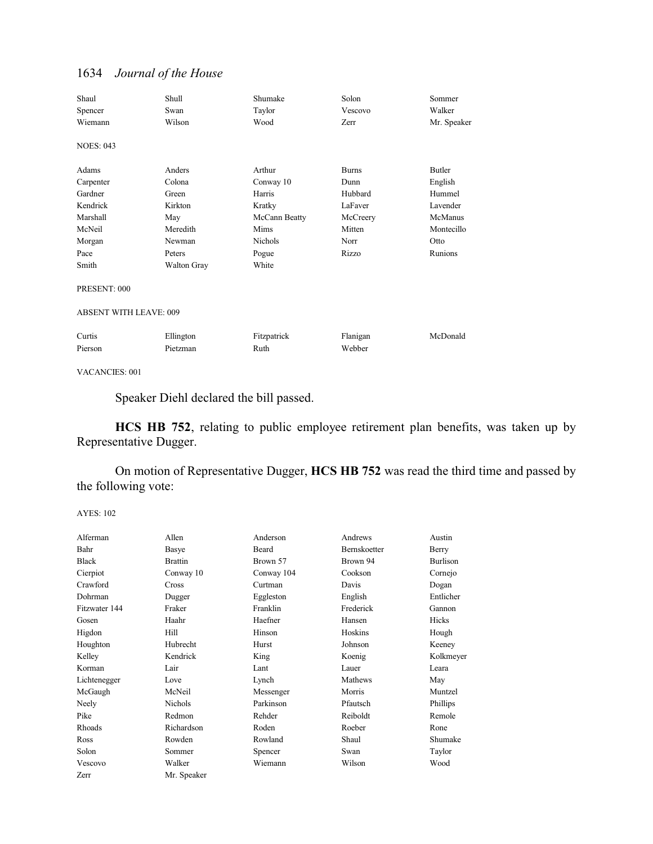| Shaul                         | Shull       | Shumake       | Solon        | Sommer      |
|-------------------------------|-------------|---------------|--------------|-------------|
| Spencer                       | Swan        | Taylor        | Vescovo      | Walker      |
| Wiemann                       | Wilson      | Wood          | Zerr         | Mr. Speaker |
| <b>NOES: 043</b>              |             |               |              |             |
| Adams                         | Anders      | Arthur        | <b>Burns</b> | Butler      |
| Carpenter                     | Colona      | Conway 10     | Dunn         | English     |
| Gardner                       | Green       | Harris        | Hubbard      | Hummel      |
| Kendrick                      | Kirkton     | Kratky        | LaFaver      | Lavender    |
| Marshall                      | May         | McCann Beatty | McCreery     | McManus     |
| McNeil                        | Meredith    | Mims          | Mitten       | Montecillo  |
| Morgan                        | Newman      | Nichols       | Norr         | Otto        |
| Pace                          | Peters      | Pogue         | Rizzo        | Runions     |
| Smith                         | Walton Gray | White         |              |             |
| PRESENT: 000                  |             |               |              |             |
| <b>ABSENT WITH LEAVE: 009</b> |             |               |              |             |
| Curtis                        | Ellington   | Fitzpatrick   | Flanigan     | McDonald    |
| Pierson                       | Pietzman    | Ruth          | Webber       |             |

VACANCIES: 001

Speaker Diehl declared the bill passed.

**HCS HB 752**, relating to public employee retirement plan benefits, was taken up by Representative Dugger.

On motion of Representative Dugger, **HCS HB 752** was read the third time and passed by the following vote:

| Allen          | Anderson   | Andrews             | Austin          |
|----------------|------------|---------------------|-----------------|
| Basye          | Beard      | <b>Bernskoetter</b> | Berry           |
| <b>Brattin</b> | Brown 57   | Brown 94            | <b>Burlison</b> |
| Conway 10      | Conway 104 | Cookson             | Cornejo         |
| <b>Cross</b>   | Curtman    | Davis               | Dogan           |
| Dugger         | Eggleston  | English             | Entlicher       |
| Fraker         | Franklin   | Frederick           | Gannon          |
| Haahr          | Haefner    | Hansen              | <b>Hicks</b>    |
| Hill           | Hinson     | Hoskins             | Hough           |
| Hubrecht       | Hurst      | Johnson             | Keeney          |
| Kendrick       | King       | Koenig              | Kolkmeyer       |
| Lair           | Lant       | Lauer               | Leara           |
| Love           | Lynch      | Mathews             | May             |
| McNeil         | Messenger  | Morris              | Muntzel         |
| <b>Nichols</b> | Parkinson  | Pfautsch            | Phillips        |
| Redmon         | Rehder     | Reiboldt            | Remole          |
| Richardson     | Roden      | Roeber              | Rone            |
| Rowden         | Rowland    | Shaul               | Shumake         |
| Sommer         | Spencer    | Swan                | Taylor          |
| Walker         | Wiemann    | Wilson              | Wood            |
| Mr. Speaker    |            |                     |                 |
|                |            |                     |                 |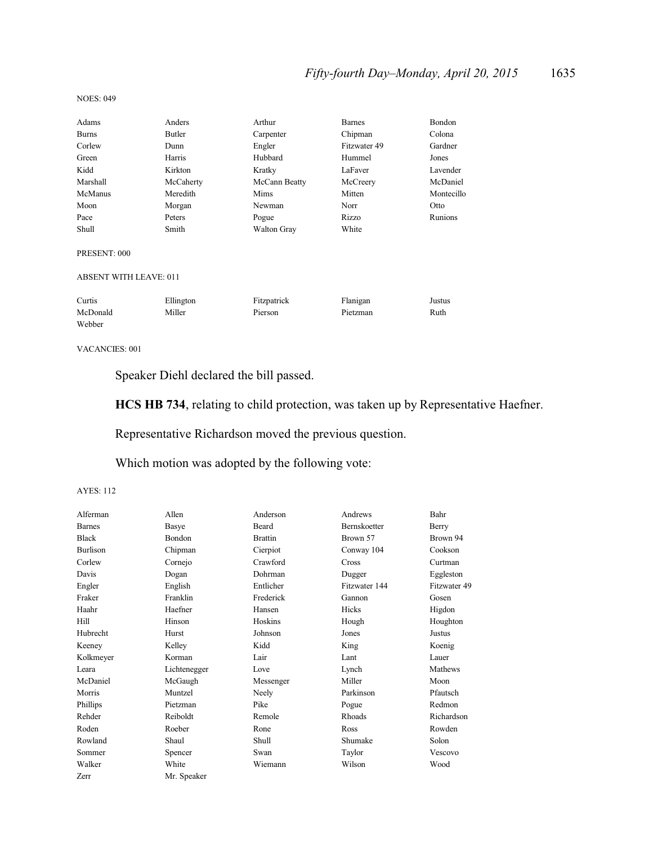# *Fifty-fourth Day–Monday, April 20, 2015* 1635

#### NOES: 049

| Adams                         | Anders    | Arthur             | <b>Barnes</b> | Bondon     |
|-------------------------------|-----------|--------------------|---------------|------------|
| <b>Burns</b>                  | Butler    | Carpenter          | Chipman       | Colona     |
| Corlew                        | Dunn      | Engler             | Fitzwater 49  | Gardner    |
| Green                         | Harris    | Hubbard            | Hummel        | Jones      |
| Kidd                          | Kirkton   | Kratky             | LaFaver       | Lavender   |
| Marshall                      | McCaherty | McCann Beatty      | McCreery      | McDaniel   |
| McManus                       | Meredith  | Mims               | Mitten        | Montecillo |
| Moon                          | Morgan    | Newman             | Norr          | Otto       |
| Pace                          | Peters    | Pogue              | Rizzo         | Runions    |
| Shull                         | Smith     | <b>Walton Gray</b> | White         |            |
| PRESENT: 000                  |           |                    |               |            |
| <b>ABSENT WITH LEAVE: 011</b> |           |                    |               |            |
| Curtis                        | Ellington | Fitzpatrick        | Flanigan      | Justus     |
| McDonald                      | Miller    | Pierson            | Pietzman      | Ruth       |
| Webber                        |           |                    |               |            |

#### VACANCIES: 001

Speaker Diehl declared the bill passed.

**HCS HB 734**, relating to child protection, was taken up by Representative Haefner.

Representative Richardson moved the previous question.

Which motion was adopted by the following vote:

| Alferman        | Allen         | Anderson       | Andrews       | Bahr         |
|-----------------|---------------|----------------|---------------|--------------|
| <b>Barnes</b>   | Basye         | Beard          | Bernskoetter  | Berry        |
| <b>Black</b>    | <b>Bondon</b> | <b>Brattin</b> | Brown 57      | Brown 94     |
| <b>Burlison</b> | Chipman       | Cierpiot       | Conway 104    | Cookson      |
| Corlew          | Cornejo       | Crawford       | Cross         | Curtman      |
| Davis           | Dogan         | Dohrman        | Dugger        | Eggleston    |
| Engler          | English       | Entlicher      | Fitzwater 144 | Fitzwater 49 |
| Fraker          | Franklin      | Frederick      | Gannon        | Gosen        |
| Haahr           | Haefner       | Hansen         | Hicks         | Higdon       |
| Hill            | Hinson        | Hoskins        | Hough         | Houghton     |
| Hubrecht        | Hurst         | Johnson        | Jones         | Justus       |
| Keeney          | Kelley        | Kidd           | King          | Koenig       |
| Kolkmeyer       | Korman        | Lair           | Lant          | Lauer        |
| Leara           | Lichtenegger  | Love           | Lynch         | Mathews      |
| McDaniel        | McGaugh       | Messenger      | Miller        | Moon         |
| Morris          | Muntzel       | Neely          | Parkinson     | Pfautsch     |
| Phillips        | Pietzman      | Pike           | Pogue         | Redmon       |
| Rehder          | Reiboldt      | Remole         | <b>Rhoads</b> | Richardson   |
| Roden           | Roeber        | Rone           | Ross          | Rowden       |
| Rowland         | Shaul         | Shull          | Shumake       | Solon        |
| Sommer          | Spencer       | Swan           | Taylor        | Vescovo      |
| Walker          | White         | Wiemann        | Wilson        | Wood         |
| Zerr            | Mr. Speaker   |                |               |              |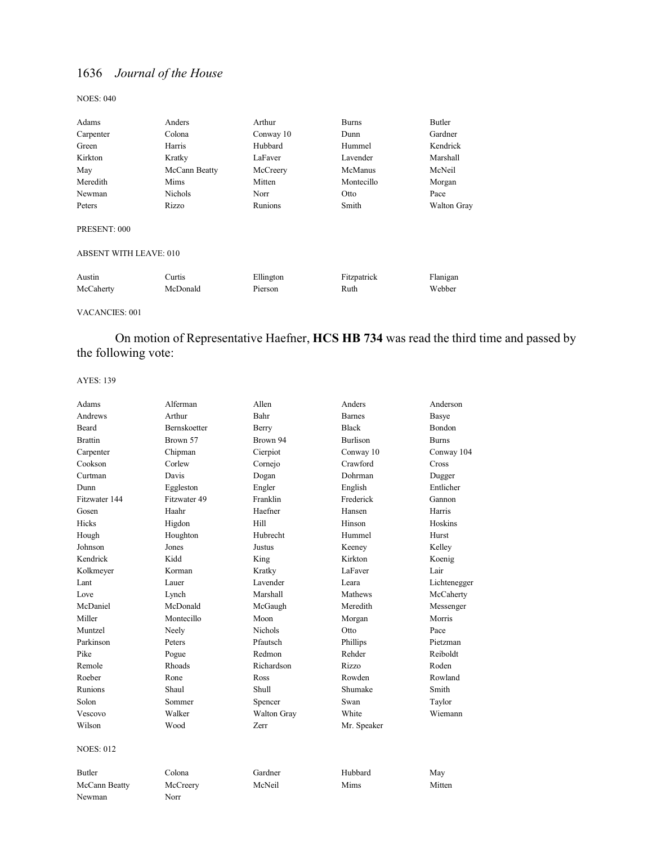NOES: 040

| Adams                  | Anders         | Arthur    | <b>Burns</b> | Butler      |
|------------------------|----------------|-----------|--------------|-------------|
| Carpenter              | Colona         | Conway 10 | Dunn         | Gardner     |
| Green                  | Harris         | Hubbard   | Hummel       | Kendrick    |
| Kirkton                | Kratky         | LaFaver   | Lavender     | Marshall    |
| May                    | McCann Beatty  | McCreery  | McManus      | McNeil      |
| Meredith               | Mims           | Mitten    | Montecillo   | Morgan      |
| Newman                 | <b>Nichols</b> | Norr      | Otto         | Pace        |
| Peters                 | Rizzo          | Runions   | Smith        | Walton Gray |
| PRESENT: 000           |                |           |              |             |
| ABSENT WITH LEAVE: 010 |                |           |              |             |
| Austin                 | Curtis         | Ellington | Fitzpatrick  | Flanigan    |
| McCaherty              | McDonald       | Pierson   | Ruth         | Webber      |
|                        |                |           |              |             |

VACANCIES: 001

# On motion of Representative Haefner, **HCS HB 734** was read the third time and passed by the following vote:

| Adams            | Alferman            | Allen              | Anders          | Anderson      |
|------------------|---------------------|--------------------|-----------------|---------------|
| Andrews          | Arthur              | Bahr               | <b>Barnes</b>   | Basye         |
| <b>Beard</b>     | <b>Bernskoetter</b> | <b>Berry</b>       | <b>Black</b>    | <b>Bondon</b> |
| <b>Brattin</b>   | Brown 57            | Brown 94           | <b>Burlison</b> | <b>Burns</b>  |
| Carpenter        | Chipman             | Cierpiot           | Conway 10       | Conway 104    |
| Cookson          | Corlew              | Cornejo            | Crawford        | <b>Cross</b>  |
| Curtman          | Davis               | Dogan              | Dohrman         | Dugger        |
| Dunn             | Eggleston           | Engler             | English         | Entlicher     |
| Fitzwater 144    | Fitzwater 49        | Franklin           | Frederick       | Gannon        |
| Gosen            | Haahr               | Haefner            | Hansen          | Harris        |
| Hicks            | Higdon              | Hill               | Hinson          | Hoskins       |
| Hough            | Houghton            | Hubrecht           | Hummel          | Hurst         |
| Johnson          | Jones               | Justus             | Keeney          | Kelley        |
| Kendrick         | Kidd                | King               | Kirkton         | Koenig        |
| Kolkmeyer        | Korman              | Kratky             | LaFaver         | Lair          |
| Lant             | Lauer               | Lavender           | Leara           | Lichtenegger  |
| Love             | Lynch               | Marshall           | Mathews         | McCaherty     |
| McDaniel         | McDonald            | McGaugh            | Meredith        | Messenger     |
| Miller           | Montecillo          | Moon               | Morgan          | Morris        |
| Muntzel          | Neely               | <b>Nichols</b>     | Otto            | Pace          |
| Parkinson        | Peters              | Pfautsch           | Phillips        | Pietzman      |
| Pike             | Pogue               | Redmon             | Rehder          | Reiboldt      |
| Remole           | Rhoads              | Richardson         | Rizzo           | Roden         |
| Roeber           | Rone                | Ross               | Rowden          | Rowland       |
| Runions          | Shaul               | Shull              | Shumake         | Smith         |
| Solon            | Sommer              | Spencer            | Swan            | Taylor        |
| Vescovo          | Walker              | <b>Walton Gray</b> | White           | Wiemann       |
| Wilson           | Wood                | Zerr               | Mr. Speaker     |               |
| <b>NOES: 012</b> |                     |                    |                 |               |
| <b>Butler</b>    | Colona              | Gardner            | Hubbard         | May           |
| McCann Beatty    | McCreery            | McNeil             | Mims            | Mitten        |
| Newman           | Norr                |                    |                 |               |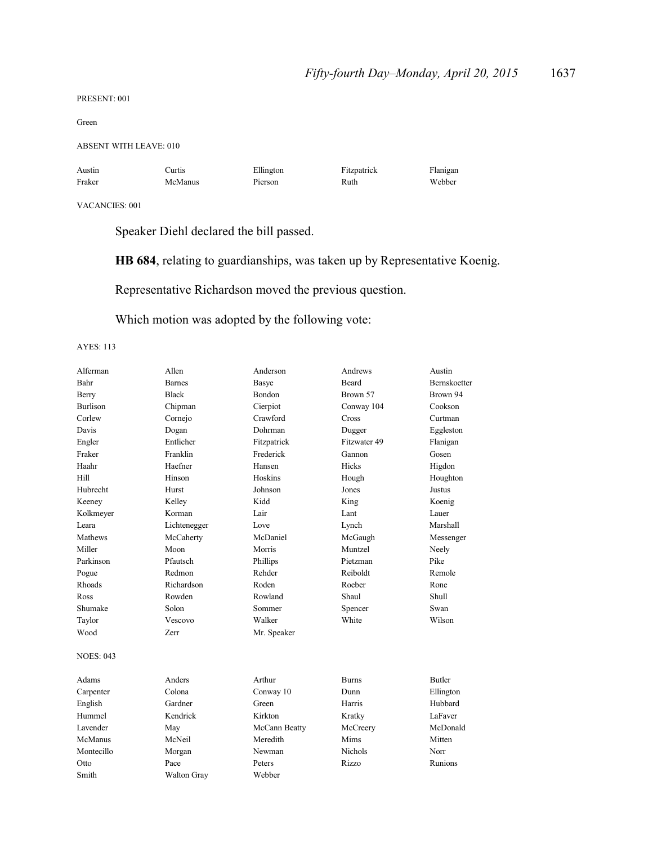#### PRESENT: 001

Green

#### ABSENT WITH LEAVE: 010

| Austin | Curtis  | Ellington | Fitzpatrick | Flanigan |
|--------|---------|-----------|-------------|----------|
| Fraker | McManus | Pierson   | Ruth        | Webber   |

#### VACANCIES: 001

Speaker Diehl declared the bill passed.

**HB 684**, relating to guardianships, was taken up by Representative Koenig.

Representative Richardson moved the previous question.

Which motion was adopted by the following vote:

| Alferman         | Allen         | Anderson      | Andrews      | Austin       |
|------------------|---------------|---------------|--------------|--------------|
| Bahr             | <b>Barnes</b> | Basye         | <b>Beard</b> | Bernskoetter |
| Berry            | <b>Black</b>  | Bondon        | Brown 57     | Brown 94     |
| <b>Burlison</b>  | Chipman       | Cierpiot      | Conway 104   | Cookson      |
| Corlew           | Cornejo       | Crawford      | Cross        | Curtman      |
| Davis            | Dogan         | Dohrman       | Dugger       | Eggleston    |
| Engler           | Entlicher     | Fitzpatrick   | Fitzwater 49 | Flanigan     |
| Fraker           | Franklin      | Frederick     | Gannon       | Gosen        |
| Haahr            | Haefner       | Hansen        | Hicks        | Higdon       |
| Hill             | Hinson        | Hoskins       | Hough        | Houghton     |
| Hubrecht         | Hurst         | Johnson       | Jones        | Justus       |
| Keeney           | Kelley        | Kidd          | King         | Koenig       |
| Kolkmeyer        | Korman        | Lair          | Lant         | Lauer        |
| Leara            | Lichtenegger  | Love          | Lynch        | Marshall     |
| Mathews          | McCaherty     | McDaniel      | McGaugh      | Messenger    |
| Miller           | Moon          | Morris        | Muntzel      | Neely        |
| Parkinson        | Pfautsch      | Phillips      | Pietzman     | Pike         |
| Pogue            | Redmon        | Rehder        | Reiboldt     | Remole       |
| Rhoads           | Richardson    | Roden         | Roeber       | Rone         |
| Ross             | Rowden        | Rowland       | Shaul        | Shull        |
| Shumake          | Solon         | Sommer        | Spencer      | Swan         |
| Taylor           | Vescovo       | Walker        | White        | Wilson       |
| Wood             | Zerr          | Mr. Speaker   |              |              |
| <b>NOES: 043</b> |               |               |              |              |
| Adams            | Anders        | Arthur        | <b>Burns</b> | Butler       |
| Carpenter        | Colona        | Conway 10     | Dunn         | Ellington    |
| English          | Gardner       | Green         | Harris       | Hubbard      |
| Hummel           | Kendrick      | Kirkton       | Kratky       | LaFaver      |
| Lavender         | May           | McCann Beatty | McCreery     | McDonald     |
| McManus          | McNeil        | Meredith      | Mims         | Mitten       |
| Montecillo       | Morgan        | Newman        | Nichols      | Norr         |
| Otto             | Pace          | Peters        | Rizzo        | Runions      |
| Smith            | Walton Gray   | Webber        |              |              |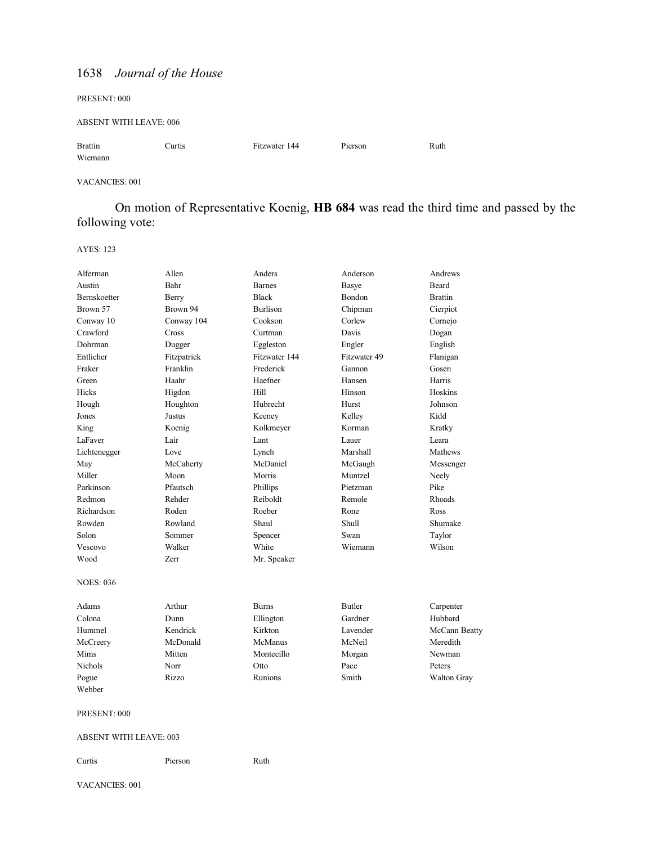PRESENT: 000

ABSENT WITH LEAVE: 006

Brattin Curtis Fitzwater 144 Pierson Ruth Wiemann

#### VACANCIES: 001

On motion of Representative Koenig, **HB 684** was read the third time and passed by the following vote:

AYES: 123

| Alferman                      | Allen       | Anders          | Anderson      | Andrews            |
|-------------------------------|-------------|-----------------|---------------|--------------------|
| Austin                        | Bahr        | <b>Barnes</b>   | Basye         | Beard              |
| Bernskoetter                  | Berry       | <b>Black</b>    | Bondon        | <b>Brattin</b>     |
| Brown 57                      | Brown 94    | <b>Burlison</b> | Chipman       | Cierpiot           |
| Conway 10                     | Conway 104  | Cookson         | Corlew        | Cornejo            |
| Crawford                      | Cross       | Curtman         | Davis         | Dogan              |
| Dohrman                       | Dugger      | Eggleston       | Engler        | English            |
| Entlicher                     | Fitzpatrick | Fitzwater 144   | Fitzwater 49  | Flanigan           |
| Fraker                        | Franklin    | Frederick       | Gannon        | Gosen              |
| Green                         | Haahr       | Haefner         | Hansen        | Harris             |
| Hicks                         | Higdon      | Hill            | Hinson        | Hoskins            |
| Hough                         | Houghton    | Hubrecht        | Hurst         | Johnson            |
| Jones                         | Justus      | Keeney          | Kelley        | Kidd               |
| King                          | Koenig      | Kolkmeyer       | Korman        | Kratky             |
| LaFaver                       | Lair        | Lant            | Lauer         | Leara              |
| Lichtenegger                  | Love        | Lynch           | Marshall      | Mathews            |
| May                           | McCaherty   | McDaniel        | McGaugh       | Messenger          |
| Miller                        | Moon        | Morris          | Muntzel       | Neely              |
| Parkinson                     | Pfautsch    | Phillips        | Pietzman      | Pike               |
| Redmon                        | Rehder      | Reiboldt        | Remole        | Rhoads             |
| Richardson                    | Roden       | Roeber          | Rone          | Ross               |
| Rowden                        | Rowland     | Shaul           | Shull         | Shumake            |
| Solon                         | Sommer      | Spencer         | Swan          | Taylor             |
| Vescovo                       | Walker      | White           | Wiemann       | Wilson             |
| Wood                          | Zerr        | Mr. Speaker     |               |                    |
| <b>NOES: 036</b>              |             |                 |               |                    |
| Adams                         | Arthur      | <b>Burns</b>    | <b>Butler</b> | Carpenter          |
| Colona                        | Dunn        | Ellington       | Gardner       | Hubbard            |
| Hummel                        | Kendrick    | Kirkton         | Lavender      | McCann Beatty      |
| McCreery                      | McDonald    | McManus         | McNeil        | Meredith           |
| Mims                          | Mitten      | Montecillo      | Morgan        | Newman             |
| <b>Nichols</b>                | Norr        | Otto            | Pace          | Peters             |
| Pogue                         | Rizzo       | Runions         | Smith         | <b>Walton Gray</b> |
| Webber                        |             |                 |               |                    |
| PRESENT: 000                  |             |                 |               |                    |
| <b>ABSENT WITH LEAVE: 003</b> |             |                 |               |                    |
| Curtis                        | Pierson     | Ruth            |               |                    |

VACANCIES: 001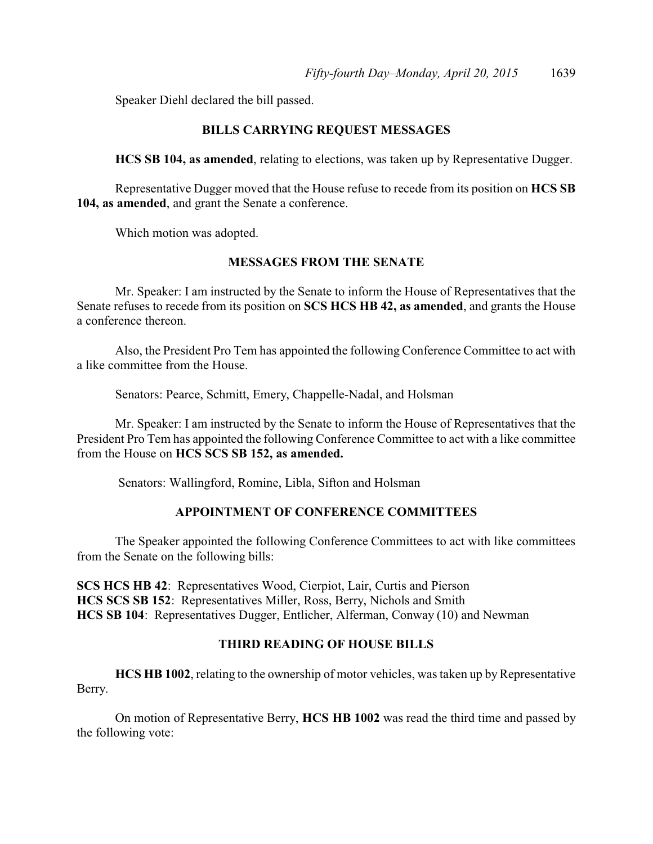Speaker Diehl declared the bill passed.

### **BILLS CARRYING REQUEST MESSAGES**

**HCS SB 104, as amended**, relating to elections, was taken up by Representative Dugger.

Representative Dugger moved that the House refuse to recede from its position on **HCS SB 104, as amended**, and grant the Senate a conference.

Which motion was adopted.

### **MESSAGES FROM THE SENATE**

Mr. Speaker: I am instructed by the Senate to inform the House of Representatives that the Senate refuses to recede from its position on **SCS HCS HB 42, as amended**, and grants the House a conference thereon.

Also, the President Pro Tem has appointed the following Conference Committee to act with a like committee from the House.

Senators: Pearce, Schmitt, Emery, Chappelle-Nadal, and Holsman

Mr. Speaker: I am instructed by the Senate to inform the House of Representatives that the President Pro Tem has appointed the following Conference Committee to act with a like committee from the House on **HCS SCS SB 152, as amended.** 

Senators: Wallingford, Romine, Libla, Sifton and Holsman

### **APPOINTMENT OF CONFERENCE COMMITTEES**

The Speaker appointed the following Conference Committees to act with like committees from the Senate on the following bills:

**SCS HCS HB 42**: Representatives Wood, Cierpiot, Lair, Curtis and Pierson **HCS SCS SB 152**: Representatives Miller, Ross, Berry, Nichols and Smith **HCS SB 104**: Representatives Dugger, Entlicher, Alferman, Conway (10) and Newman

### **THIRD READING OF HOUSE BILLS**

**HCS HB 1002**, relating to the ownership of motor vehicles, was taken up by Representative Berry.

On motion of Representative Berry, **HCS HB 1002** was read the third time and passed by the following vote: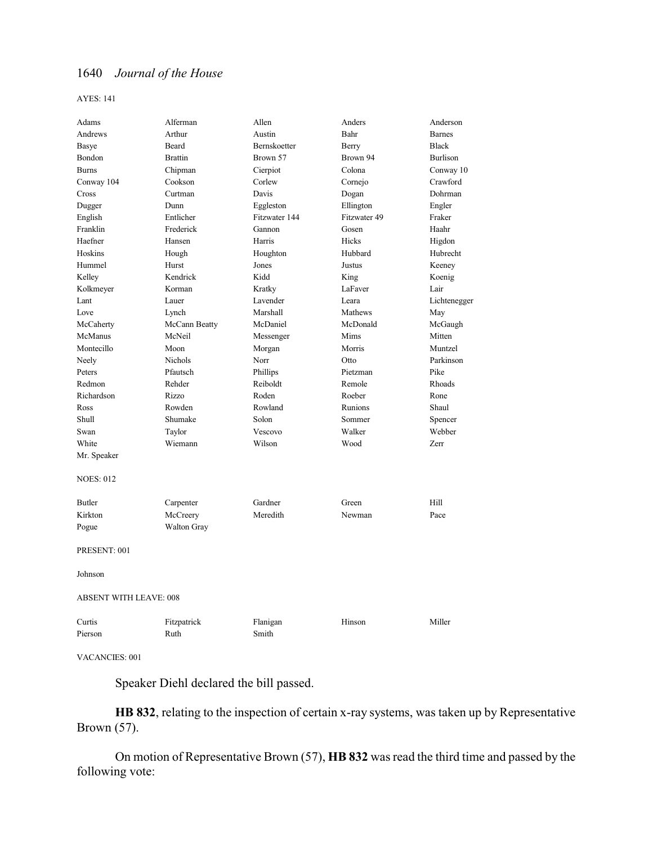AYES: 141

| Adams                         | Alferman           | Allen         | Anders       | Anderson        |
|-------------------------------|--------------------|---------------|--------------|-----------------|
| Andrews                       | Arthur             | Austin        | Bahr         | <b>Barnes</b>   |
| <b>Basye</b>                  | Beard              | Bernskoetter  | Berry        | <b>Black</b>    |
| Bondon                        | <b>Brattin</b>     | Brown 57      | Brown 94     | <b>Burlison</b> |
| <b>Burns</b>                  | Chipman            | Cierpiot      | Colona       | Conway 10       |
| Conway 104                    | Cookson            | Corlew        | Cornejo      | Crawford        |
| Cross                         | Curtman            | Davis         | Dogan        | Dohrman         |
| Dugger                        | Dunn               | Eggleston     | Ellington    | Engler          |
| English                       | Entlicher          | Fitzwater 144 | Fitzwater 49 | Fraker          |
| Franklin                      | Frederick          | Gannon        | Gosen        | Haahr           |
| Haefner                       | Hansen             | Harris        | Hicks        | Higdon          |
| Hoskins                       | Hough              | Houghton      | Hubbard      | Hubrecht        |
| Hummel                        | Hurst              | Jones         | Justus       | Keeney          |
| Kelley                        | Kendrick           | Kidd          | King         | Koenig          |
| Kolkmeyer                     | Korman             | Kratky        | LaFaver      | Lair            |
| Lant                          | Lauer              | Lavender      | Leara        | Lichtenegger    |
| Love                          | Lynch              | Marshall      | Mathews      | May             |
| McCaherty                     | McCann Beatty      | McDaniel      | McDonald     | McGaugh         |
| McManus                       | McNeil             | Messenger     | Mims         | Mitten          |
| Montecillo                    | Moon               | Morgan        | Morris       | Muntzel         |
| Neely                         | <b>Nichols</b>     | Norr          | Otto         | Parkinson       |
| Peters                        | Pfautsch           | Phillips      | Pietzman     | Pike            |
| Redmon                        | Rehder             | Reiboldt      | Remole       | Rhoads          |
| Richardson                    | Rizzo              | Roden         | Roeber       | Rone            |
| Ross                          | Rowden             | Rowland       | Runions      | Shaul           |
| Shull                         | Shumake            | Solon         | Sommer       | Spencer         |
| Swan                          | Taylor             | Vescovo       | Walker       | Webber          |
| White                         | Wiemann            | Wilson        | Wood         | Zerr            |
| Mr. Speaker                   |                    |               |              |                 |
| <b>NOES: 012</b>              |                    |               |              |                 |
| <b>Butler</b>                 | Carpenter          | Gardner       | Green        | Hill            |
| Kirkton                       | McCreery           | Meredith      | Newman       | Pace            |
| Pogue                         | <b>Walton Gray</b> |               |              |                 |
| PRESENT: 001                  |                    |               |              |                 |
| Johnson                       |                    |               |              |                 |
| <b>ABSENT WITH LEAVE: 008</b> |                    |               |              |                 |
| Curtis                        | Fitzpatrick        | Flanigan      | Hinson       | Miller          |
| Pierson                       | Ruth               | Smith         |              |                 |
|                               |                    |               |              |                 |

VACANCIES: 001

Speaker Diehl declared the bill passed.

**HB 832**, relating to the inspection of certain x-ray systems, was taken up by Representative Brown (57).

On motion of Representative Brown (57), **HB 832** was read the third time and passed by the following vote: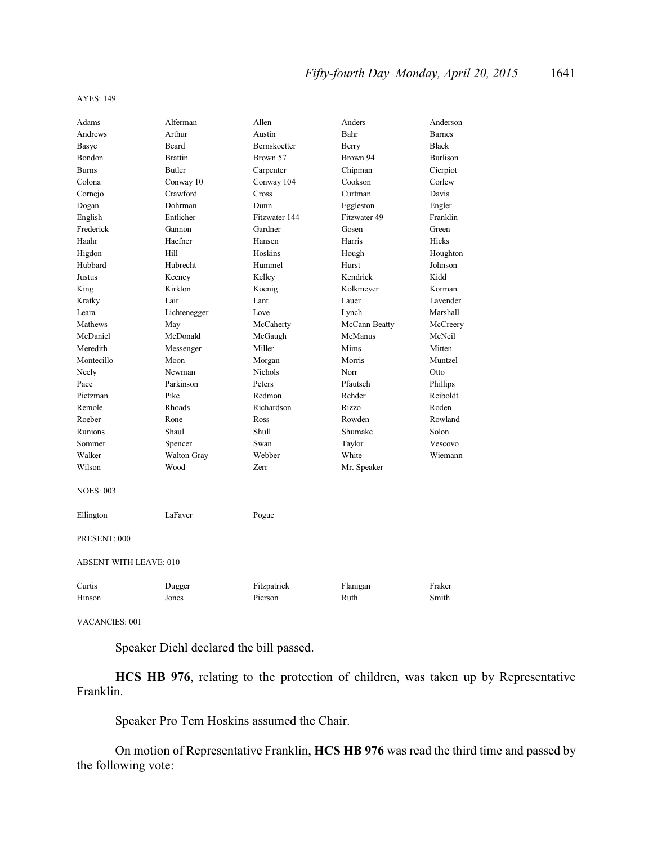#### AYES: 149

| Adams                         | Alferman           | Allen         | Anders        | Anderson        |
|-------------------------------|--------------------|---------------|---------------|-----------------|
| Andrews                       | Arthur             | Austin        | Bahr          | <b>Barnes</b>   |
| Basye                         | Beard              | Bernskoetter  | Berry         | <b>Black</b>    |
| Bondon                        | <b>Brattin</b>     | Brown 57      | Brown 94      | <b>Burlison</b> |
| <b>Burns</b>                  | <b>Butler</b>      | Carpenter     | Chipman       | Cierpiot        |
| Colona                        | Conway 10          | Conway 104    | Cookson       | Corlew          |
| Cornejo                       | Crawford           | Cross         | Curtman       | Davis           |
| Dogan                         | Dohrman            | Dunn          | Eggleston     | Engler          |
| English                       | Entlicher          | Fitzwater 144 | Fitzwater 49  | Franklin        |
| Frederick                     | Gannon             | Gardner       | Gosen         | Green           |
| Haahr                         | Haefner            | Hansen        | Harris        | Hicks           |
| Higdon                        | Hill               | Hoskins       | Hough         | Houghton        |
| Hubbard                       | Hubrecht           | Hummel        | Hurst         | Johnson         |
| Justus                        | Keeney             | Kelley        | Kendrick      | Kidd            |
| King                          | Kirkton            | Koenig        | Kolkmeyer     | Korman          |
| Kratky                        | Lair               | Lant          | Lauer         | Lavender        |
| Leara                         | Lichtenegger       | Love          | Lynch         | Marshall        |
| Mathews                       | May                | McCaherty     | McCann Beatty | McCreery        |
| McDaniel                      | McDonald           | McGaugh       | McManus       | McNeil          |
| Meredith                      | Messenger          | Miller        | Mims          | Mitten          |
| Montecillo                    | Moon               | Morgan        | Morris        | Muntzel         |
| Neely                         | Newman             | Nichols       | Norr          | Otto            |
| Pace                          | Parkinson          | Peters        | Pfautsch      | Phillips        |
| Pietzman                      | Pike               | Redmon        | Rehder        | Reiboldt        |
| Remole                        | Rhoads             | Richardson    | Rizzo         | Roden           |
| Roeber                        | Rone               | Ross          | Rowden        | Rowland         |
| Runions                       | Shaul              | Shull         | Shumake       | Solon           |
| Sommer                        | Spencer            | Swan          | Taylor        | Vescovo         |
| Walker                        | <b>Walton Gray</b> | Webber        | White         | Wiemann         |
| Wilson                        | Wood               | Zerr          | Mr. Speaker   |                 |
| <b>NOES: 003</b>              |                    |               |               |                 |
| Ellington                     | LaFaver            | Pogue         |               |                 |
| PRESENT: 000                  |                    |               |               |                 |
| <b>ABSENT WITH LEAVE: 010</b> |                    |               |               |                 |
| Curtis                        | Dugger             | Fitzpatrick   | Flanigan      | Fraker          |
| Hinson                        | Jones              | Pierson       | Ruth          | Smith           |
|                               |                    |               |               |                 |

VACANCIES: 001

Speaker Diehl declared the bill passed.

**HCS HB 976**, relating to the protection of children, was taken up by Representative Franklin.

Speaker Pro Tem Hoskins assumed the Chair.

On motion of Representative Franklin, **HCS HB 976** was read the third time and passed by the following vote: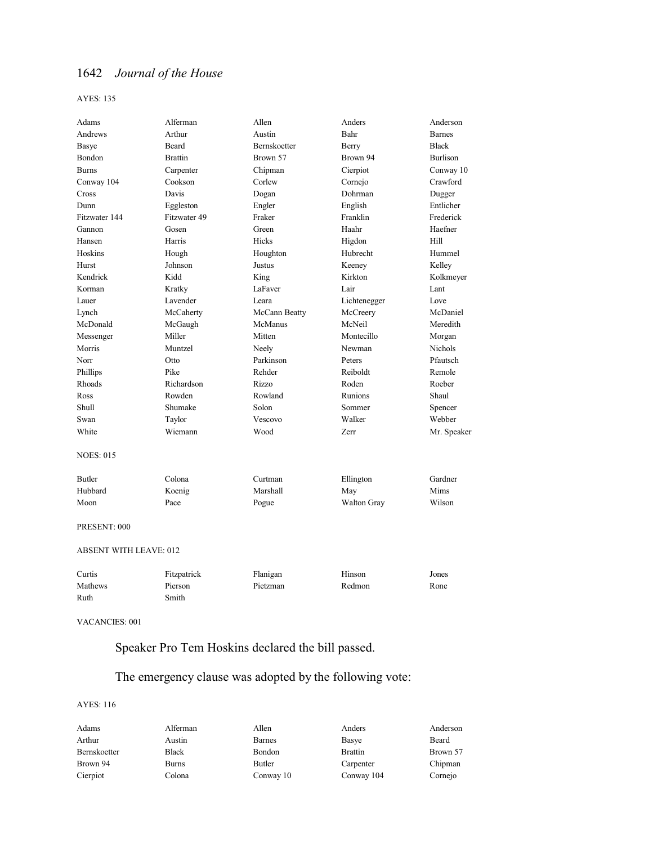AYES: 135

| <b>Barnes</b><br><b>Black</b><br><b>Burlison</b><br>Conway 10<br>Crawford<br>Dugger<br>Entlicher<br>Frederick |
|---------------------------------------------------------------------------------------------------------------|
|                                                                                                               |
|                                                                                                               |
|                                                                                                               |
|                                                                                                               |
|                                                                                                               |
|                                                                                                               |
|                                                                                                               |
|                                                                                                               |
| Haefner                                                                                                       |
| Hill                                                                                                          |
| Hummel                                                                                                        |
| Kelley                                                                                                        |
| Kolkmeyer                                                                                                     |
| Lant                                                                                                          |
| Love                                                                                                          |
| McDaniel                                                                                                      |
| Meredith                                                                                                      |
| Morgan                                                                                                        |
| <b>Nichols</b>                                                                                                |
| Pfautsch                                                                                                      |
| Remole                                                                                                        |
| Roeber                                                                                                        |
| Shaul                                                                                                         |
| Spencer                                                                                                       |
| Webber                                                                                                        |
| Mr. Speaker                                                                                                   |
|                                                                                                               |
| Gardner                                                                                                       |
| Mims                                                                                                          |
| Wilson                                                                                                        |
|                                                                                                               |
|                                                                                                               |
| Jones                                                                                                         |
| Rone                                                                                                          |
|                                                                                                               |
|                                                                                                               |

VACANCIES: 001

# Speaker Pro Tem Hoskins declared the bill passed.

# The emergency clause was adopted by the following vote:

| Adams        | Alferman | Allen         | Anders         | Anderson |
|--------------|----------|---------------|----------------|----------|
| Arthur       | Austin   | <b>Barnes</b> | Basye          | Beard    |
| Bernskoetter | Black    | Bondon        | <b>Brattin</b> | Brown 57 |
| Brown 94     | Burns    | Butler        | Carpenter      | Chipman  |
| Cierpiot     | Colona   | Conway 10     | Conway 104     | Cornejo  |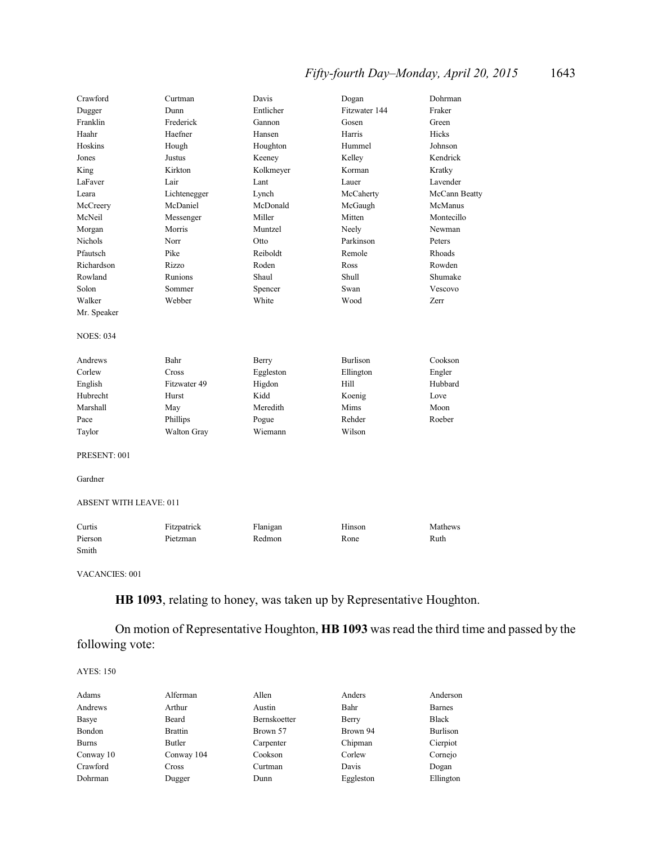# *Fifty-fourth Day–Monday, April 20, 2015* 1643

| Crawford                      | Curtman                 | Davis              | Dogan           | Dohrman       |  |
|-------------------------------|-------------------------|--------------------|-----------------|---------------|--|
| Dugger                        | Dunn                    | Entlicher          | Fitzwater 144   | Fraker        |  |
| Franklin                      | Frederick               | Gannon             | Gosen           | Green         |  |
| Haahr                         | Haefner                 | Hansen             | Harris          | Hicks         |  |
| Hoskins                       | Hough                   | Houghton           | Hummel          | Johnson       |  |
| Jones                         | Justus                  | Keeney             | Kelley          | Kendrick      |  |
| King                          | Kirkton                 | Kolkmeyer          | Korman          | Kratky        |  |
| LaFaver                       | Lair                    | Lant               | Lauer           | Lavender      |  |
| Leara                         | Lichtenegger            | Lynch              | McCaherty       | McCann Beatty |  |
| McCreery                      | McDaniel                | McDonald           | McGaugh         | McManus       |  |
| McNeil                        | Messenger               | Miller             | Mitten          | Montecillo    |  |
| Morgan                        | Morris                  | Muntzel            | Neely           | Newman        |  |
| <b>Nichols</b>                | Norr                    | Otto               | Parkinson       | Peters        |  |
| Pfautsch                      | Pike                    | Reiboldt           | Remole          | Rhoads        |  |
| Richardson                    | Rizzo                   | Roden              | Ross            | Rowden        |  |
| Rowland                       | Runions                 | Shaul              | Shull           | Shumake       |  |
| Solon                         | Sommer                  | Spencer            | Swan            | Vescovo       |  |
| Walker                        | Webber                  | White              | Wood            | Zerr          |  |
| Mr. Speaker                   |                         |                    |                 |               |  |
|                               |                         |                    |                 |               |  |
| <b>NOES: 034</b>              |                         |                    |                 |               |  |
|                               |                         |                    |                 |               |  |
| Andrews                       | Bahr                    | Berry              | <b>Burlison</b> | Cookson       |  |
| Corlew                        | Cross                   | Eggleston          | Ellington       | Engler        |  |
| English                       | Fitzwater 49            | Higdon             | Hill            | Hubbard       |  |
| Hubrecht                      | Hurst                   | Kidd               | Koenig          | Love          |  |
| Marshall                      | May                     | Meredith           | Mims            | Moon          |  |
| Pace                          | Phillips                | Pogue              | Rehder          | Roeber        |  |
| Taylor                        | Walton Gray             | Wiemann            | Wilson          |               |  |
|                               |                         |                    |                 |               |  |
| PRESENT: 001                  |                         |                    |                 |               |  |
| Gardner                       |                         |                    |                 |               |  |
|                               |                         |                    |                 |               |  |
| <b>ABSENT WITH LEAVE: 011</b> |                         |                    |                 |               |  |
| Curtis                        |                         |                    | Hinson          | Mathews       |  |
| Pierson                       | Fitzpatrick<br>Pietzman | Flanigan<br>Redmon | Rone            | Ruth          |  |
|                               |                         |                    |                 |               |  |
| Smith                         |                         |                    |                 |               |  |
| <b>VACANCIES: 001</b>         |                         |                    |                 |               |  |

**HB 1093**, relating to honey, was taken up by Representative Houghton.

On motion of Representative Houghton, **HB 1093** was read the third time and passed by the following vote:

| Adams        | Alferman       | Allen               | Anders    | Anderson      |
|--------------|----------------|---------------------|-----------|---------------|
| Andrews      | Arthur         | Austin              | Bahr      | <b>Barnes</b> |
| Basye        | Beard          | <b>Bernskoetter</b> | Berry     | <b>Black</b>  |
| Bondon       | <b>Brattin</b> | Brown 57            | Brown 94  | Burlison      |
| <b>Burns</b> | Butler         | Carpenter           | Chipman   | Cierpiot      |
| Conway 10    | Conway 104     | Cookson             | Corlew    | Cornejo       |
| Crawford     | Cross          | Curtman             | Davis     | Dogan         |
| Dohrman      | Dugger         | Dunn                | Eggleston | Ellington     |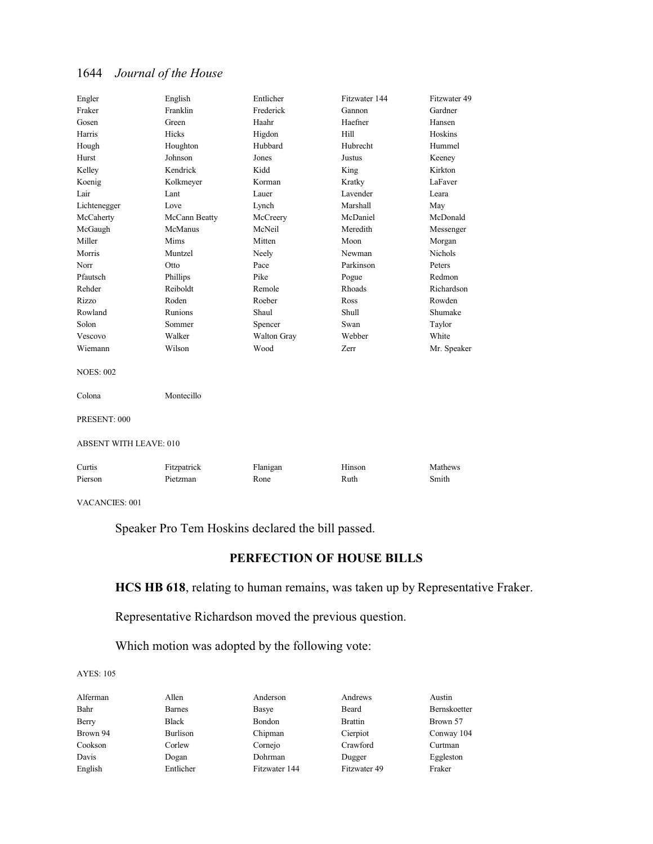| Engler                        | English        | Entlicher   | Fitzwater 144 | Fitzwater 49 |  |
|-------------------------------|----------------|-------------|---------------|--------------|--|
| Fraker                        | Franklin       | Frederick   | Gannon        | Gardner      |  |
| Gosen                         | Green          | Haahr       | Haefner       | Hansen       |  |
| Harris                        | Hicks          | Higdon      | Hill          | Hoskins      |  |
| Hough                         | Houghton       | Hubbard     | Hubrecht      | Hummel       |  |
| Hurst                         | Johnson        | Jones       | Justus        | Keeney       |  |
| Kelley                        | Kendrick       | Kidd        | King          | Kirkton      |  |
| Koenig                        | Kolkmeyer      | Korman      | Kratky        | LaFaver      |  |
| Lair                          | Lant           | Lauer       | Lavender      | Leara        |  |
| Lichtenegger                  | Love           | Lynch       | Marshall      | May          |  |
| McCaherty                     | McCann Beatty  | McCreery    | McDaniel      | McDonald     |  |
| McGaugh                       | McManus        | McNeil      | Meredith      | Messenger    |  |
| Miller                        | Mims           | Mitten      | Moon          | Morgan       |  |
| Morris                        | Muntzel        | Neely       | Newman        | Nichols      |  |
| Norr                          | Otto           | Pace        | Parkinson     | Peters       |  |
| Pfautsch                      | Phillips       | Pike        | Pogue         | Redmon       |  |
| Rehder                        | Reiboldt       | Remole      | Rhoads        | Richardson   |  |
| Rizzo                         | Roden          | Roeber      | Ross          | Rowden       |  |
| Rowland                       | <b>Runions</b> | Shaul       | Shull         | Shumake      |  |
| Solon                         | Sommer         | Spencer     | Swan          | Taylor       |  |
| Vescovo                       | Walker         | Walton Gray | Webber        | White        |  |
| Wiemann                       | Wilson         | Wood        | Zerr          | Mr. Speaker  |  |
| <b>NOES: 002</b>              |                |             |               |              |  |
| Colona                        | Montecillo     |             |               |              |  |
| PRESENT: 000                  |                |             |               |              |  |
| <b>ABSENT WITH LEAVE: 010</b> |                |             |               |              |  |
| Curtis                        | Fitzpatrick    | Flanigan    | Hinson        | Mathews      |  |
| Pierson                       | Pietzman       | Rone        | Ruth          | Smith        |  |
|                               |                |             |               |              |  |

VACANCIES: 001

Speaker Pro Tem Hoskins declared the bill passed.

# **PERFECTION OF HOUSE BILLS**

### **HCS HB 618**, relating to human remains, was taken up by Representative Fraker.

Representative Richardson moved the previous question.

Which motion was adopted by the following vote:

| Alferman | Allen         | Anderson      | Andrews        | Austin       |
|----------|---------------|---------------|----------------|--------------|
| Bahr     | <b>Barnes</b> | Basye         | Beard          | Bernskoetter |
| Berry    | <b>Black</b>  | Bondon        | <b>Brattin</b> | Brown 57     |
| Brown 94 | Burlison      | Chipman       | Cierpiot       | Conway 104   |
| Cookson  | Corlew        | Cornejo       | Crawford       | Curtman      |
| Davis    | Dogan         | Dohrman       | Dugger         | Eggleston    |
| English  | Entlicher     | Fitzwater 144 | Fitzwater 49   | Fraker       |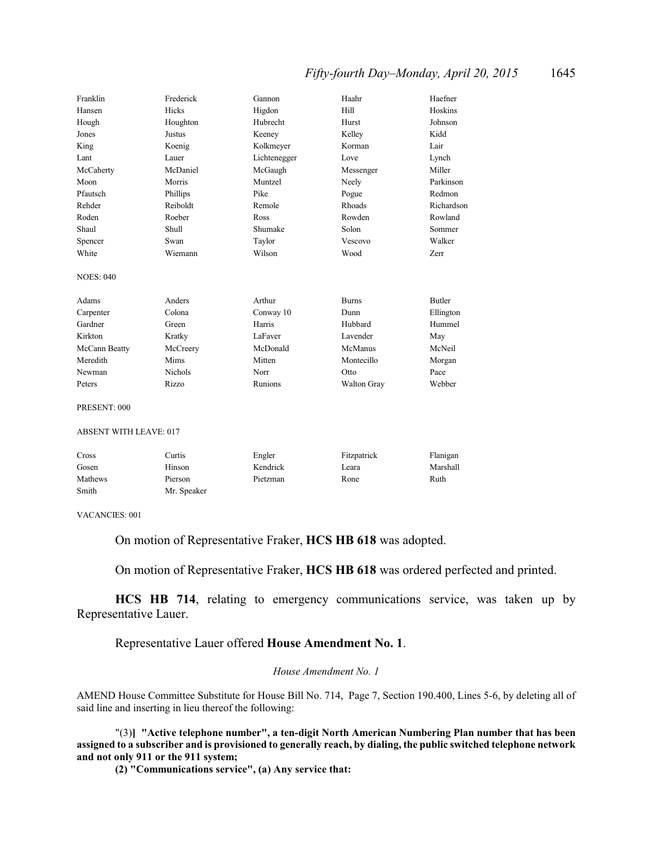### *Fifty-fourth Day–Monday, April 20, 2015* 1645

| Franklin                      | Frederick      | Gannon       | Haahr        | Haefner       |
|-------------------------------|----------------|--------------|--------------|---------------|
| Hansen                        | Hicks          | Higdon       | Hill         | Hoskins       |
| Hough                         | Houghton       | Hubrecht     | Hurst        | Johnson       |
| Jones                         | <b>Justus</b>  | Keeney       | Kelley       | Kidd          |
| King                          | Koenig         | Kolkmeyer    | Korman       | Lair          |
| Lant                          | Lauer          | Lichtenegger | Love         | Lynch         |
| McCaherty                     | McDaniel       | McGaugh      | Messenger    | Miller        |
| Moon                          | Morris         | Muntzel      | Neely        | Parkinson     |
| Pfautsch                      | Phillips       | Pike         | Pogue        | Redmon        |
| Rehder                        | Reiboldt       | Remole       | Rhoads       | Richardson    |
| Roden                         | Roeber         | Ross         | Rowden       | Rowland       |
| Shaul                         | Shull          | Shumake      | Solon        | Sommer        |
| Spencer                       | Swan           | Taylor       | Vescovo      | Walker        |
| White                         | Wiemann        | Wilson       | Wood         | Zerr          |
| <b>NOES: 040</b>              |                |              |              |               |
| Adams                         | Anders         | Arthur       | <b>Burns</b> | <b>Butler</b> |
| Carpenter                     | Colona         | Conway 10    | Dunn         | Ellington     |
| Gardner                       | Green          | Harris       | Hubbard      | Hummel        |
| Kirkton                       | Kratky         | LaFaver      | Lavender     | May           |
| McCann Beatty                 | McCreery       | McDonald     | McManus      | McNeil        |
| Meredith                      | Mims           | Mitten       | Montecillo   | Morgan        |
| Newman                        | <b>Nichols</b> | Norr         | Otto         | Pace          |
| Peters                        | Rizzo          | Runions      | Walton Gray  | Webber        |
| PRESENT: 000                  |                |              |              |               |
| <b>ABSENT WITH LEAVE: 017</b> |                |              |              |               |
| Cross                         | Curtis         | Engler       | Fitzpatrick  | Flanigan      |
| Gosen                         | Hinson         | Kendrick     | Leara        | Marshall      |

VACANCIES: 001

Smith Mr. Speaker

On motion of Representative Fraker, **HCS HB 618** was adopted.

Mathews Pierson Pietzman Rone Ruth

On motion of Representative Fraker, **HCS HB 618** was ordered perfected and printed.

**HCS HB 714**, relating to emergency communications service, was taken up by Representative Lauer.

Representative Lauer offered **House Amendment No. 1**.

#### *House Amendment No. 1*

AMEND House Committee Substitute for House Bill No. 714, Page 7, Section 190.400, Lines 5-6, by deleting all of said line and inserting in lieu thereof the following:

"(3)**] "Active telephone number", a ten-digit North American Numbering Plan number that has been assigned to a subscriber and is provisioned to generally reach, by dialing, the public switched telephone network and not only 911 or the 911 system;**

**(2) "Communications service", (a) Any service that:**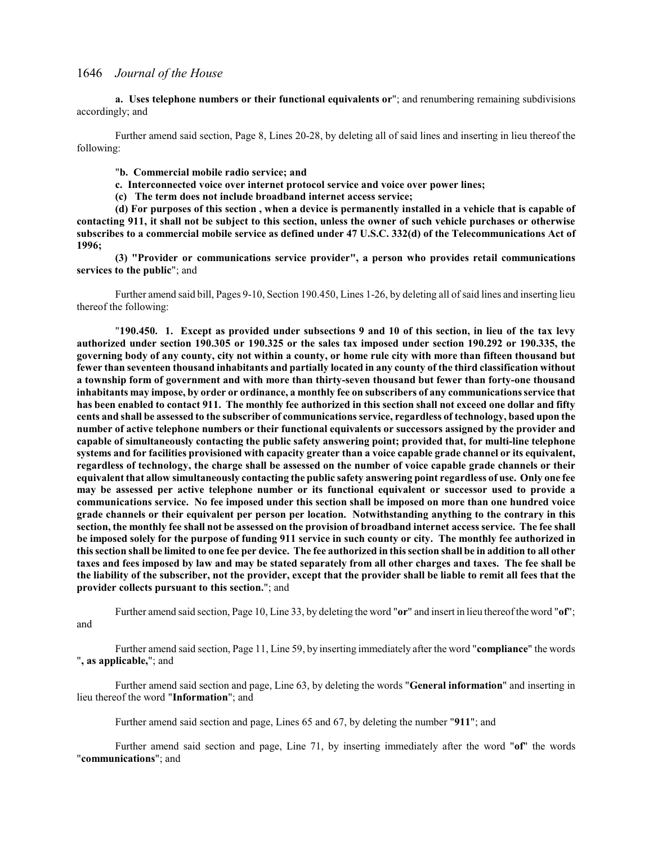**a. Uses telephone numbers or their functional equivalents or**"; and renumbering remaining subdivisions accordingly; and

Further amend said section, Page 8, Lines 20-28, by deleting all of said lines and inserting in lieu thereof the following:

"**b. Commercial mobile radio service; and**

- **c. Interconnected voice over internet protocol service and voice over power lines;**
- **(c) The term does not include broadband internet access service;**

**(d) For purposes of this section , when a device is permanently installed in a vehicle that is capable of contacting 911, it shall not be subject to this section, unless the owner of such vehicle purchases or otherwise subscribes to a commercial mobile service as defined under 47 U.S.C. 332(d) of the Telecommunications Act of 1996;**

**(3) "Provider or communications service provider", a person who provides retail communications services to the public**"; and

Further amend said bill, Pages 9-10, Section 190.450, Lines 1-26, by deleting all ofsaid lines and inserting lieu thereof the following:

"**190.450. 1. Except as provided under subsections 9 and 10 of this section, in lieu of the tax levy authorized under section 190.305 or 190.325 or the sales tax imposed under section 190.292 or 190.335, the governing body of any county, city not within a county, or home rule city with more than fifteen thousand but fewer than seventeen thousand inhabitants and partially located in any county of the third classification without a township form of government and with more than thirty-seven thousand but fewer than forty-one thousand inhabitants may impose, by order or ordinance, a monthly fee on subscribers of any communications service that has been enabled to contact 911. The monthly fee authorized in this section shall not exceed one dollar and fifty cents and shall be assessed to the subscriber of communications service, regardless of technology, based upon the number of active telephone numbers or their functional equivalents or successors assigned by the provider and capable of simultaneously contacting the public safety answering point; provided that, for multi-line telephone systems and for facilities provisioned with capacity greater than a voice capable grade channel or its equivalent, regardless of technology, the charge shall be assessed on the number of voice capable grade channels or their equivalent that allow simultaneously contacting the public safety answering point regardless of use. Only one fee may be assessed per active telephone number or its functional equivalent or successor used to provide a communications service. No fee imposed under this section shall be imposed on more than one hundred voice grade channels or their equivalent per person per location. Notwithstanding anything to the contrary in this section, the monthly fee shall not be assessed on the provision of broadband internet access service. The fee shall be imposed solely for the purpose of funding 911 service in such county or city. The monthly fee authorized in this section shall be limited to one fee per device. The fee authorized in this section shall be in addition to all other taxes and fees imposed by law and may be stated separately from all other charges and taxes. The fee shall be the liability of the subscriber, not the provider, except that the provider shall be liable to remit all fees that the provider collects pursuant to this section.**"; and

Further amend said section, Page 10, Line 33, by deleting the word "**or**" and insert in lieu thereofthe word "**of**"; and

Further amend said section, Page 11, Line 59, by inserting immediately after the word "**compliance**" the words "**, as applicable,**"; and

Further amend said section and page, Line 63, by deleting the words "**General information**" and inserting in lieu thereof the word "**Information**"; and

Further amend said section and page, Lines 65 and 67, by deleting the number "**911**"; and

Further amend said section and page, Line 71, by inserting immediately after the word "**of**" the words "**communications**"; and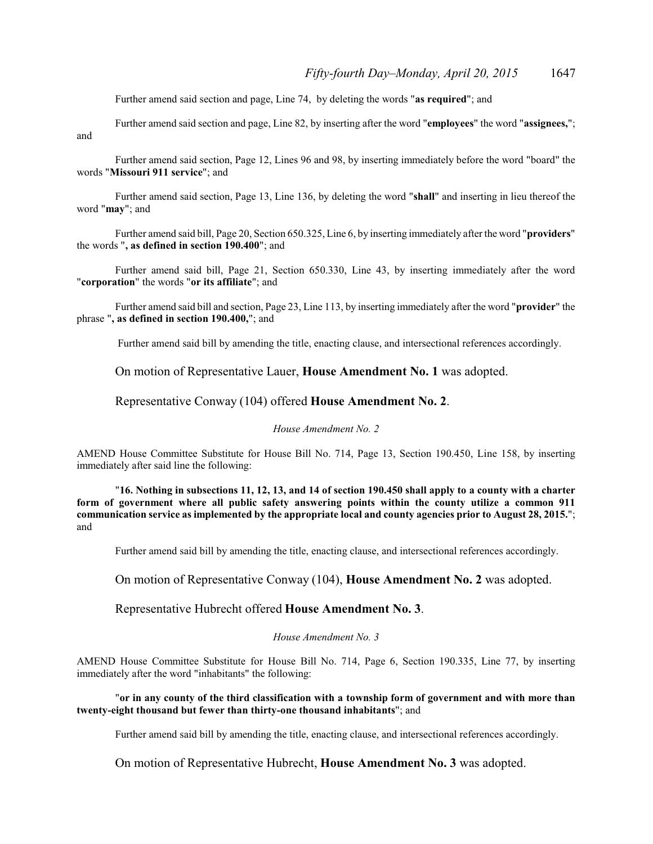Further amend said section and page, Line 74, by deleting the words "**as required**"; and

Further amend said section and page, Line 82, by inserting after the word "**employees**" the word "**assignees,**"; and

Further amend said section, Page 12, Lines 96 and 98, by inserting immediately before the word "board" the words "**Missouri 911 service**"; and

Further amend said section, Page 13, Line 136, by deleting the word "**shall**" and inserting in lieu thereof the word "**may**"; and

Further amend said bill, Page 20, Section 650.325, Line 6, by inserting immediately after the word "**providers**" the words "**, as defined in section 190.400**"; and

Further amend said bill, Page 21, Section 650.330, Line 43, by inserting immediately after the word "**corporation**" the words "**or its affiliate**"; and

Further amend said bill and section, Page 23, Line 113, by inserting immediately after the word "**provider**" the phrase "**, as defined in section 190.400,**"; and

Further amend said bill by amending the title, enacting clause, and intersectional references accordingly.

On motion of Representative Lauer, **House Amendment No. 1** was adopted.

#### Representative Conway (104) offered **House Amendment No. 2**.

#### *House Amendment No. 2*

AMEND House Committee Substitute for House Bill No. 714, Page 13, Section 190.450, Line 158, by inserting immediately after said line the following:

"**16. Nothing in subsections 11, 12, 13, and 14 of section 190.450 shall apply to a county with a charter form of government where all public safety answering points within the county utilize a common 911 communication service as implemented by the appropriate local and county agencies prior to August 28, 2015.**"; and

Further amend said bill by amending the title, enacting clause, and intersectional references accordingly.

On motion of Representative Conway (104), **House Amendment No. 2** was adopted.

Representative Hubrecht offered **House Amendment No. 3**.

#### *House Amendment No. 3*

AMEND House Committee Substitute for House Bill No. 714, Page 6, Section 190.335, Line 77, by inserting immediately after the word "inhabitants" the following:

"**or in any county of the third classification with a township form of government and with more than twenty-eight thousand but fewer than thirty-one thousand inhabitants**"; and

Further amend said bill by amending the title, enacting clause, and intersectional references accordingly.

On motion of Representative Hubrecht, **House Amendment No. 3** was adopted.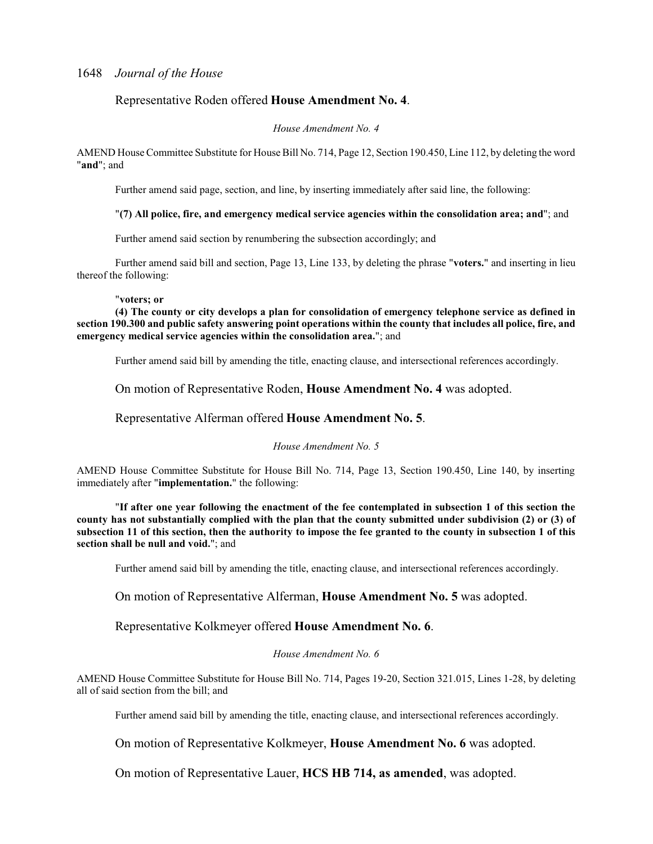### Representative Roden offered **House Amendment No. 4**.

#### *House Amendment No. 4*

AMEND House Committee Substitute for House Bill No. 714, Page 12, Section 190.450, Line 112, by deleting the word "**and**"; and

Further amend said page, section, and line, by inserting immediately after said line, the following:

#### "**(7) All police, fire, and emergency medical service agencies within the consolidation area; and**"; and

Further amend said section by renumbering the subsection accordingly; and

Further amend said bill and section, Page 13, Line 133, by deleting the phrase "**voters.**" and inserting in lieu thereof the following:

#### "**voters; or**

**(4) The county or city develops a plan for consolidation of emergency telephone service as defined in section 190.300 and public safety answering point operations within the county that includes all police, fire, and emergency medical service agencies within the consolidation area.**"; and

Further amend said bill by amending the title, enacting clause, and intersectional references accordingly.

On motion of Representative Roden, **House Amendment No. 4** was adopted.

### Representative Alferman offered **House Amendment No. 5**.

#### *House Amendment No. 5*

AMEND House Committee Substitute for House Bill No. 714, Page 13, Section 190.450, Line 140, by inserting immediately after "**implementation.**" the following:

"**If after one year following the enactment of the fee contemplated in subsection 1 of this section the county has not substantially complied with the plan that the county submitted under subdivision (2) or (3) of subsection 11 of this section, then the authority to impose the fee granted to the county in subsection 1 of this section shall be null and void.**"; and

Further amend said bill by amending the title, enacting clause, and intersectional references accordingly.

### On motion of Representative Alferman, **House Amendment No. 5** was adopted.

### Representative Kolkmeyer offered **House Amendment No. 6**.

#### *House Amendment No. 6*

AMEND House Committee Substitute for House Bill No. 714, Pages 19-20, Section 321.015, Lines 1-28, by deleting all of said section from the bill; and

Further amend said bill by amending the title, enacting clause, and intersectional references accordingly.

On motion of Representative Kolkmeyer, **House Amendment No. 6** was adopted.

On motion of Representative Lauer, **HCS HB 714, as amended**, was adopted.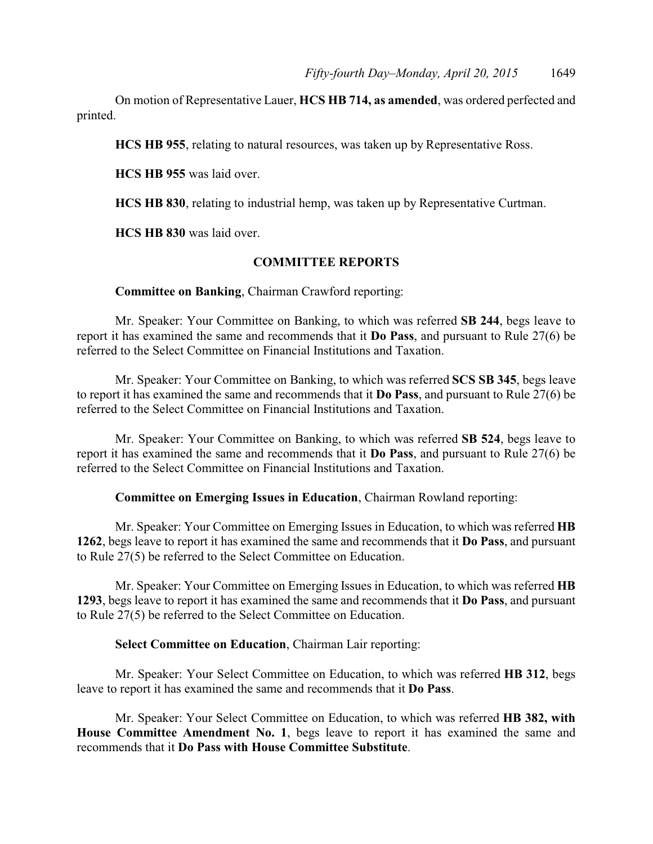On motion of Representative Lauer, **HCS HB 714, as amended**, was ordered perfected and printed.

**HCS HB 955**, relating to natural resources, was taken up by Representative Ross.

**HCS HB 955** was laid over.

**HCS HB 830**, relating to industrial hemp, was taken up by Representative Curtman.

**HCS HB 830** was laid over.

### **COMMITTEE REPORTS**

### **Committee on Banking**, Chairman Crawford reporting:

Mr. Speaker: Your Committee on Banking, to which was referred **SB 244**, begs leave to report it has examined the same and recommends that it **Do Pass**, and pursuant to Rule 27(6) be referred to the Select Committee on Financial Institutions and Taxation.

Mr. Speaker: Your Committee on Banking, to which was referred **SCS SB 345**, begs leave to report it has examined the same and recommends that it **Do Pass**, and pursuant to Rule 27(6) be referred to the Select Committee on Financial Institutions and Taxation.

Mr. Speaker: Your Committee on Banking, to which was referred **SB 524**, begs leave to report it has examined the same and recommends that it **Do Pass**, and pursuant to Rule 27(6) be referred to the Select Committee on Financial Institutions and Taxation.

**Committee on Emerging Issues in Education**, Chairman Rowland reporting:

Mr. Speaker: Your Committee on Emerging Issues in Education, to which was referred **HB 1262**, begs leave to report it has examined the same and recommends that it **Do Pass**, and pursuant to Rule 27(5) be referred to the Select Committee on Education.

Mr. Speaker: Your Committee on Emerging Issues in Education, to which was referred **HB 1293**, begs leave to report it has examined the same and recommends that it **Do Pass**, and pursuant to Rule 27(5) be referred to the Select Committee on Education.

### **Select Committee on Education**, Chairman Lair reporting:

Mr. Speaker: Your Select Committee on Education, to which was referred **HB 312**, begs leave to report it has examined the same and recommends that it **Do Pass**.

Mr. Speaker: Your Select Committee on Education, to which was referred **HB 382, with House Committee Amendment No. 1**, begs leave to report it has examined the same and recommends that it **Do Pass with House Committee Substitute**.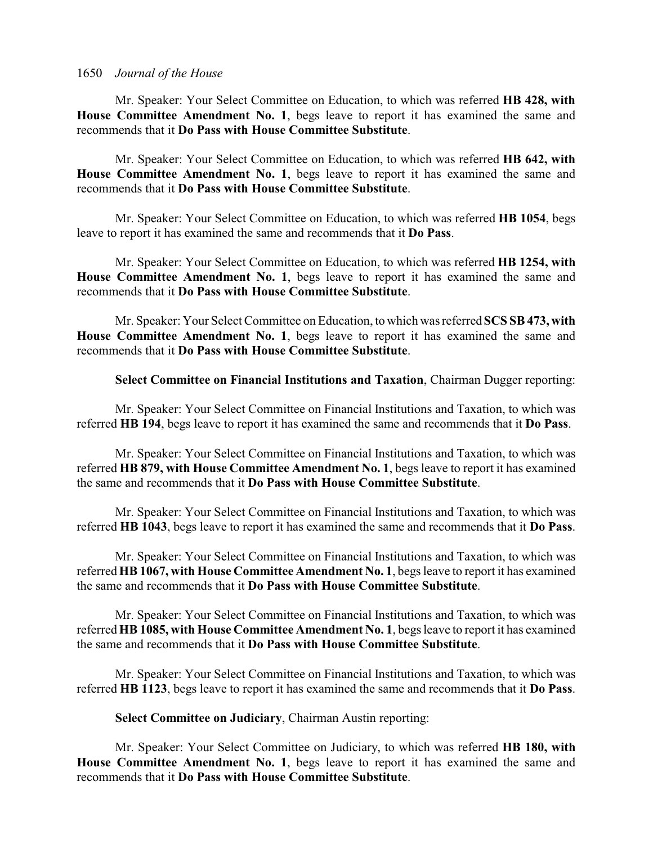Mr. Speaker: Your Select Committee on Education, to which was referred **HB 428, with House Committee Amendment No. 1**, begs leave to report it has examined the same and recommends that it **Do Pass with House Committee Substitute**.

Mr. Speaker: Your Select Committee on Education, to which was referred **HB 642, with House Committee Amendment No. 1**, begs leave to report it has examined the same and recommends that it **Do Pass with House Committee Substitute**.

Mr. Speaker: Your Select Committee on Education, to which was referred **HB 1054**, begs leave to report it has examined the same and recommends that it **Do Pass**.

Mr. Speaker: Your Select Committee on Education, to which was referred **HB 1254, with House Committee Amendment No. 1**, begs leave to report it has examined the same and recommends that it **Do Pass with House Committee Substitute**.

Mr. Speaker: Your Select Committee on Education, to which was referred **SCS SB 473, with House Committee Amendment No. 1**, begs leave to report it has examined the same and recommends that it **Do Pass with House Committee Substitute**.

**Select Committee on Financial Institutions and Taxation**, Chairman Dugger reporting:

Mr. Speaker: Your Select Committee on Financial Institutions and Taxation, to which was referred **HB 194**, begs leave to report it has examined the same and recommends that it **Do Pass**.

Mr. Speaker: Your Select Committee on Financial Institutions and Taxation, to which was referred **HB 879, with House Committee Amendment No. 1**, begs leave to report it has examined the same and recommends that it **Do Pass with House Committee Substitute**.

Mr. Speaker: Your Select Committee on Financial Institutions and Taxation, to which was referred **HB 1043**, begs leave to report it has examined the same and recommends that it **Do Pass**.

Mr. Speaker: Your Select Committee on Financial Institutions and Taxation, to which was referred **HB 1067, with House Committee Amendment No. 1**, begs leave to report it has examined the same and recommends that it **Do Pass with House Committee Substitute**.

Mr. Speaker: Your Select Committee on Financial Institutions and Taxation, to which was referred **HB 1085, with House Committee Amendment No. 1**, begs leave to report it has examined the same and recommends that it **Do Pass with House Committee Substitute**.

Mr. Speaker: Your Select Committee on Financial Institutions and Taxation, to which was referred **HB 1123**, begs leave to report it has examined the same and recommends that it **Do Pass**.

**Select Committee on Judiciary**, Chairman Austin reporting:

Mr. Speaker: Your Select Committee on Judiciary, to which was referred **HB 180, with House Committee Amendment No. 1**, begs leave to report it has examined the same and recommends that it **Do Pass with House Committee Substitute**.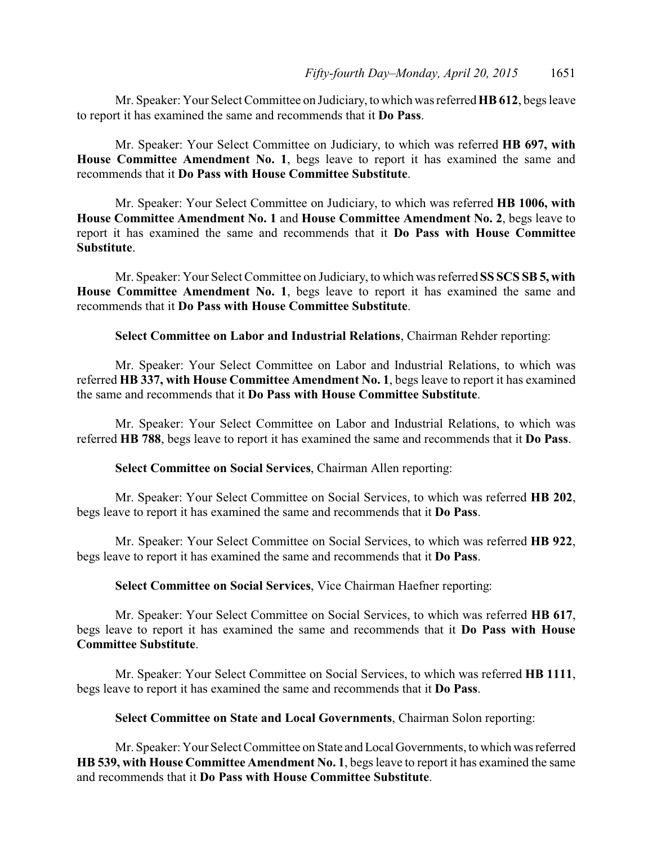Mr. Speaker: Your Select Committee on Judiciary, to which was referred **HB 612**, begs leave to report it has examined the same and recommends that it **Do Pass**.

Mr. Speaker: Your Select Committee on Judiciary, to which was referred **HB 697, with House Committee Amendment No. 1**, begs leave to report it has examined the same and recommends that it **Do Pass with House Committee Substitute**.

Mr. Speaker: Your Select Committee on Judiciary, to which was referred **HB 1006, with House Committee Amendment No. 1** and **House Committee Amendment No. 2**, begs leave to report it has examined the same and recommends that it **Do Pass with House Committee Substitute**.

Mr. Speaker: Your Select Committee on Judiciary, to which was referred **SS SCS SB 5, with House Committee Amendment No. 1**, begs leave to report it has examined the same and recommends that it **Do Pass with House Committee Substitute**.

**Select Committee on Labor and Industrial Relations**, Chairman Rehder reporting:

Mr. Speaker: Your Select Committee on Labor and Industrial Relations, to which was referred **HB 337, with House Committee Amendment No. 1**, begs leave to report it has examined the same and recommends that it **Do Pass with House Committee Substitute**.

Mr. Speaker: Your Select Committee on Labor and Industrial Relations, to which was referred **HB 788**, begs leave to report it has examined the same and recommends that it **Do Pass**.

**Select Committee on Social Services**, Chairman Allen reporting:

Mr. Speaker: Your Select Committee on Social Services, to which was referred **HB 202**, begs leave to report it has examined the same and recommends that it **Do Pass**.

Mr. Speaker: Your Select Committee on Social Services, to which was referred **HB 922**, begs leave to report it has examined the same and recommends that it **Do Pass**.

**Select Committee on Social Services**, Vice Chairman Haefner reporting:

Mr. Speaker: Your Select Committee on Social Services, to which was referred **HB 617**, begs leave to report it has examined the same and recommends that it **Do Pass with House Committee Substitute**.

Mr. Speaker: Your Select Committee on Social Services, to which was referred **HB 1111**, begs leave to report it has examined the same and recommends that it **Do Pass**.

**Select Committee on State and Local Governments**, Chairman Solon reporting:

Mr. Speaker: Your Select Committee on State and Local Governments, to which was referred **HB 539, with House Committee Amendment No. 1**, begs leave to report it has examined the same and recommends that it **Do Pass with House Committee Substitute**.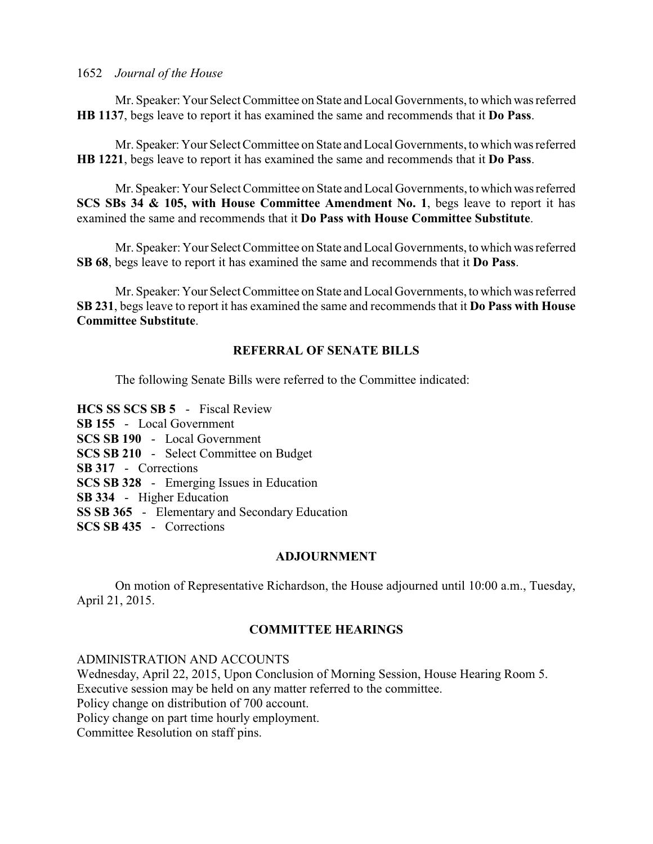Mr. Speaker:YourSelect Committee on State and Local Governments, to which was referred **HB 1137**, begs leave to report it has examined the same and recommends that it **Do Pass**.

Mr. Speaker:Your Select Committee on State and Local Governments, to which was referred **HB 1221**, begs leave to report it has examined the same and recommends that it **Do Pass**.

Mr.Speaker: Your Select Committee on State and Local Governments, to which was referred **SCS SBs 34 & 105, with House Committee Amendment No. 1**, begs leave to report it has examined the same and recommends that it **Do Pass with House Committee Substitute**.

Mr. Speaker: Your Select Committee on State and Local Governments, to which was referred **SB 68**, begs leave to report it has examined the same and recommends that it **Do Pass**.

Mr. Speaker:YourSelect Committee on State and Local Governments, to which was referred **SB 231**, begs leave to report it has examined the same and recommends that it **Do Pass with House Committee Substitute**.

### **REFERRAL OF SENATE BILLS**

The following Senate Bills were referred to the Committee indicated:

**HCS SS SCS SB 5** - Fiscal Review **SB 155** - Local Government **SCS SB 190** - Local Government **SCS SB 210** - Select Committee on Budget **SB 317** - Corrections **SCS SB 328** - Emerging Issues in Education **SB 334** - Higher Education **SS SB 365** - Elementary and Secondary Education **SCS SB 435** - Corrections

### **ADJOURNMENT**

On motion of Representative Richardson, the House adjourned until 10:00 a.m., Tuesday, April 21, 2015.

### **COMMITTEE HEARINGS**

ADMINISTRATION AND ACCOUNTS Wednesday, April 22, 2015, Upon Conclusion of Morning Session, House Hearing Room 5. Executive session may be held on any matter referred to the committee. Policy change on distribution of 700 account. Policy change on part time hourly employment. Committee Resolution on staff pins.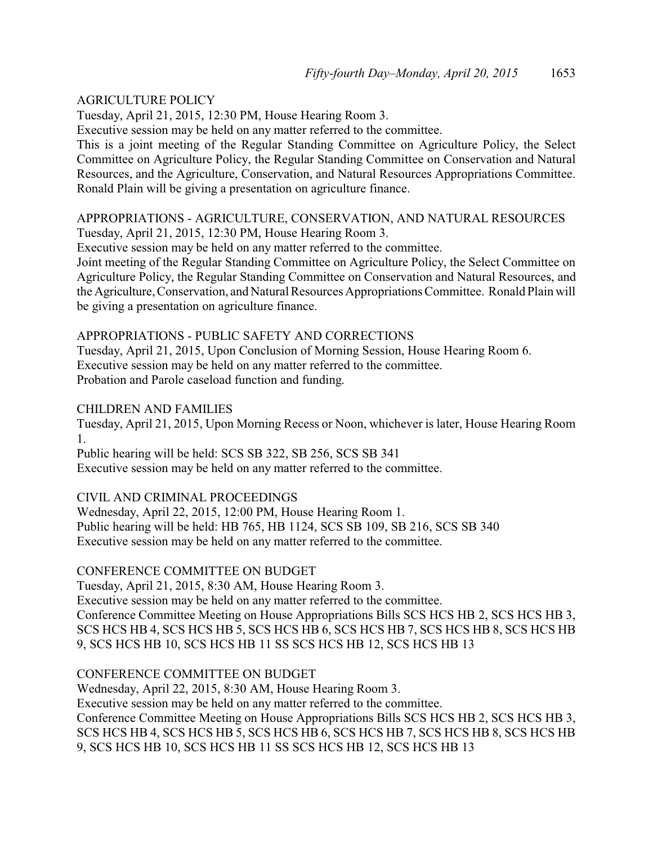### AGRICULTURE POLICY

Tuesday, April 21, 2015, 12:30 PM, House Hearing Room 3.

Executive session may be held on any matter referred to the committee.

This is a joint meeting of the Regular Standing Committee on Agriculture Policy, the Select Committee on Agriculture Policy, the Regular Standing Committee on Conservation and Natural Resources, and the Agriculture, Conservation, and Natural Resources Appropriations Committee. Ronald Plain will be giving a presentation on agriculture finance.

### APPROPRIATIONS - AGRICULTURE, CONSERVATION, AND NATURAL RESOURCES Tuesday, April 21, 2015, 12:30 PM, House Hearing Room 3.

Executive session may be held on any matter referred to the committee.

Joint meeting of the Regular Standing Committee on Agriculture Policy, the Select Committee on Agriculture Policy, the Regular Standing Committee on Conservation and Natural Resources, and the Agriculture, Conservation, and Natural Resources Appropriations Committee. Ronald Plain will be giving a presentation on agriculture finance.

### APPROPRIATIONS - PUBLIC SAFETY AND CORRECTIONS

Tuesday, April 21, 2015, Upon Conclusion of Morning Session, House Hearing Room 6. Executive session may be held on any matter referred to the committee. Probation and Parole caseload function and funding.

### CHILDREN AND FAMILIES

Tuesday, April 21, 2015, Upon Morning Recess or Noon, whichever is later, House Hearing Room 1.

Public hearing will be held: SCS SB 322, SB 256, SCS SB 341

Executive session may be held on any matter referred to the committee.

### CIVIL AND CRIMINAL PROCEEDINGS

Wednesday, April 22, 2015, 12:00 PM, House Hearing Room 1. Public hearing will be held: HB 765, HB 1124, SCS SB 109, SB 216, SCS SB 340 Executive session may be held on any matter referred to the committee.

# CONFERENCE COMMITTEE ON BUDGET

Tuesday, April 21, 2015, 8:30 AM, House Hearing Room 3.

Executive session may be held on any matter referred to the committee. Conference Committee Meeting on House Appropriations Bills SCS HCS HB 2, SCS HCS HB 3, SCS HCS HB 4, SCS HCS HB 5, SCS HCS HB 6, SCS HCS HB 7, SCS HCS HB 8, SCS HCS HB 9, SCS HCS HB 10, SCS HCS HB 11 SS SCS HCS HB 12, SCS HCS HB 13

### CONFERENCE COMMITTEE ON BUDGET

Wednesday, April 22, 2015, 8:30 AM, House Hearing Room 3.

Executive session may be held on any matter referred to the committee.

Conference Committee Meeting on House Appropriations Bills SCS HCS HB 2, SCS HCS HB 3, SCS HCS HB 4, SCS HCS HB 5, SCS HCS HB 6, SCS HCS HB 7, SCS HCS HB 8, SCS HCS HB 9, SCS HCS HB 10, SCS HCS HB 11 SS SCS HCS HB 12, SCS HCS HB 13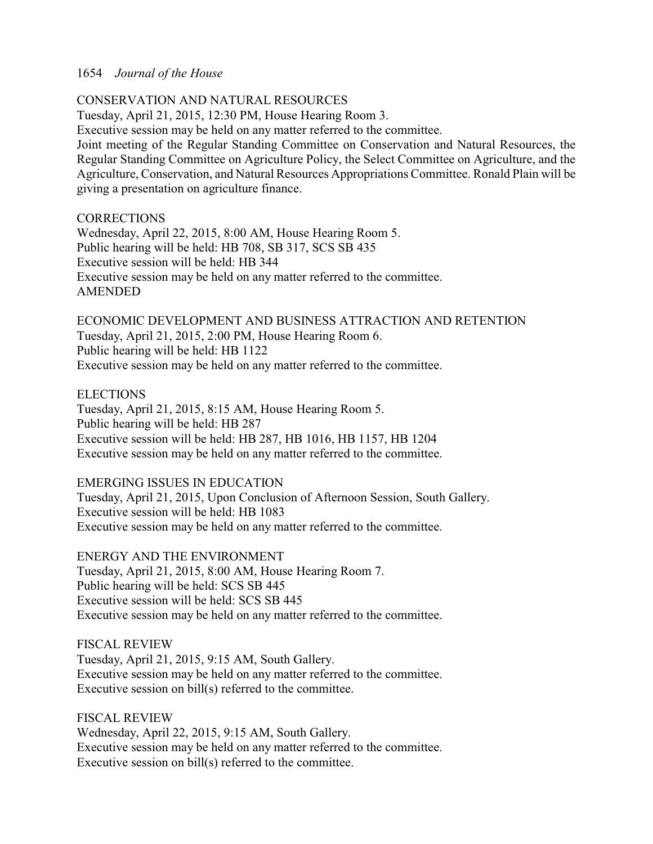### CONSERVATION AND NATURAL RESOURCES

Tuesday, April 21, 2015, 12:30 PM, House Hearing Room 3.

Executive session may be held on any matter referred to the committee.

Joint meeting of the Regular Standing Committee on Conservation and Natural Resources, the Regular Standing Committee on Agriculture Policy, the Select Committee on Agriculture, and the Agriculture, Conservation, and Natural Resources Appropriations Committee. Ronald Plain will be giving a presentation on agriculture finance.

### **CORRECTIONS**

Wednesday, April 22, 2015, 8:00 AM, House Hearing Room 5. Public hearing will be held: HB 708, SB 317, SCS SB 435 Executive session will be held: HB 344 Executive session may be held on any matter referred to the committee. AMENDED

ECONOMIC DEVELOPMENT AND BUSINESS ATTRACTION AND RETENTION Tuesday, April 21, 2015, 2:00 PM, House Hearing Room 6. Public hearing will be held: HB 1122 Executive session may be held on any matter referred to the committee.

### ELECTIONS

Tuesday, April 21, 2015, 8:15 AM, House Hearing Room 5. Public hearing will be held: HB 287 Executive session will be held: HB 287, HB 1016, HB 1157, HB 1204 Executive session may be held on any matter referred to the committee.

### EMERGING ISSUES IN EDUCATION

Tuesday, April 21, 2015, Upon Conclusion of Afternoon Session, South Gallery. Executive session will be held: HB 1083 Executive session may be held on any matter referred to the committee.

ENERGY AND THE ENVIRONMENT Tuesday, April 21, 2015, 8:00 AM, House Hearing Room 7. Public hearing will be held: SCS SB 445 Executive session will be held: SCS SB 445 Executive session may be held on any matter referred to the committee.

FISCAL REVIEW Tuesday, April 21, 2015, 9:15 AM, South Gallery. Executive session may be held on any matter referred to the committee. Executive session on bill(s) referred to the committee.

FISCAL REVIEW Wednesday, April 22, 2015, 9:15 AM, South Gallery. Executive session may be held on any matter referred to the committee. Executive session on bill(s) referred to the committee.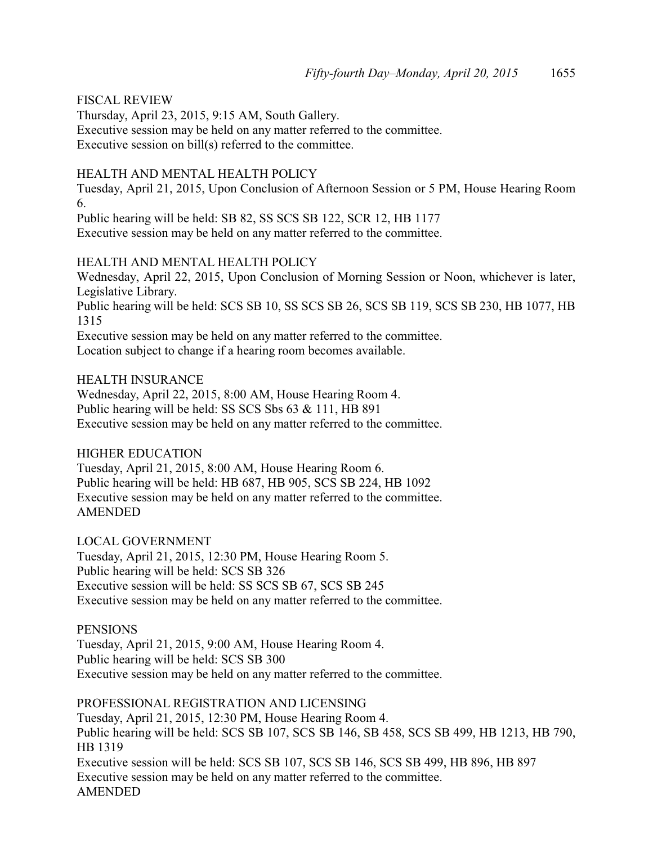### FISCAL REVIEW

Thursday, April 23, 2015, 9:15 AM, South Gallery. Executive session may be held on any matter referred to the committee. Executive session on bill(s) referred to the committee.

### HEALTH AND MENTAL HEALTH POLICY

Tuesday, April 21, 2015, Upon Conclusion of Afternoon Session or 5 PM, House Hearing Room 6.

Public hearing will be held: SB 82, SS SCS SB 122, SCR 12, HB 1177 Executive session may be held on any matter referred to the committee.

### HEALTH AND MENTAL HEALTH POLICY

Wednesday, April 22, 2015, Upon Conclusion of Morning Session or Noon, whichever is later, Legislative Library. Public hearing will be held: SCS SB 10, SS SCS SB 26, SCS SB 119, SCS SB 230, HB 1077, HB 1315

Executive session may be held on any matter referred to the committee.

Location subject to change if a hearing room becomes available.

### HEALTH INSURANCE

Wednesday, April 22, 2015, 8:00 AM, House Hearing Room 4. Public hearing will be held: SS SCS Sbs 63 & 111, HB 891 Executive session may be held on any matter referred to the committee.

### HIGHER EDUCATION

Tuesday, April 21, 2015, 8:00 AM, House Hearing Room 6. Public hearing will be held: HB 687, HB 905, SCS SB 224, HB 1092 Executive session may be held on any matter referred to the committee. AMENDED

LOCAL GOVERNMENT

Tuesday, April 21, 2015, 12:30 PM, House Hearing Room 5. Public hearing will be held: SCS SB 326 Executive session will be held: SS SCS SB 67, SCS SB 245 Executive session may be held on any matter referred to the committee.

### **PENSIONS**

Tuesday, April 21, 2015, 9:00 AM, House Hearing Room 4. Public hearing will be held: SCS SB 300 Executive session may be held on any matter referred to the committee.

PROFESSIONAL REGISTRATION AND LICENSING Tuesday, April 21, 2015, 12:30 PM, House Hearing Room 4. Public hearing will be held: SCS SB 107, SCS SB 146, SB 458, SCS SB 499, HB 1213, HB 790, HB 1319 Executive session will be held: SCS SB 107, SCS SB 146, SCS SB 499, HB 896, HB 897 Executive session may be held on any matter referred to the committee. AMENDED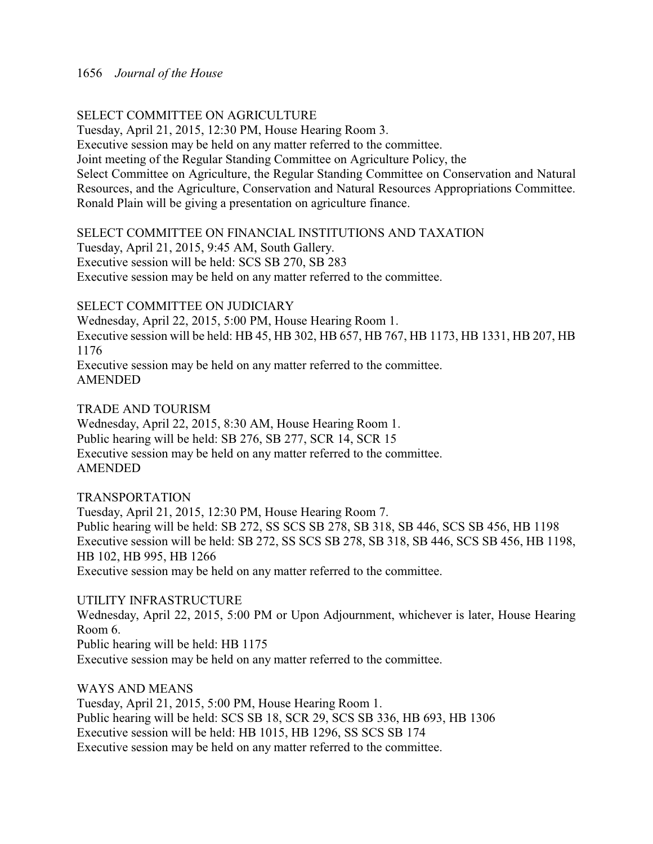### SELECT COMMITTEE ON AGRICULTURE

Tuesday, April 21, 2015, 12:30 PM, House Hearing Room 3.

Executive session may be held on any matter referred to the committee.

Joint meeting of the Regular Standing Committee on Agriculture Policy, the

Select Committee on Agriculture, the Regular Standing Committee on Conservation and Natural Resources, and the Agriculture, Conservation and Natural Resources Appropriations Committee. Ronald Plain will be giving a presentation on agriculture finance.

SELECT COMMITTEE ON FINANCIAL INSTITUTIONS AND TAXATION

Tuesday, April 21, 2015, 9:45 AM, South Gallery. Executive session will be held: SCS SB 270, SB 283

Executive session may be held on any matter referred to the committee.

### SELECT COMMITTEE ON JUDICIARY

Wednesday, April 22, 2015, 5:00 PM, House Hearing Room 1. Executive session will be held: HB 45, HB 302, HB 657, HB 767, HB 1173, HB 1331, HB 207, HB 1176

Executive session may be held on any matter referred to the committee. AMENDED

### TRADE AND TOURISM

Wednesday, April 22, 2015, 8:30 AM, House Hearing Room 1. Public hearing will be held: SB 276, SB 277, SCR 14, SCR 15 Executive session may be held on any matter referred to the committee. AMENDED

### TRANSPORTATION

Tuesday, April 21, 2015, 12:30 PM, House Hearing Room 7. Public hearing will be held: SB 272, SS SCS SB 278, SB 318, SB 446, SCS SB 456, HB 1198 Executive session will be held: SB 272, SS SCS SB 278, SB 318, SB 446, SCS SB 456, HB 1198, HB 102, HB 995, HB 1266 Executive session may be held on any matter referred to the committee.

### UTILITY INFRASTRUCTURE

Wednesday, April 22, 2015, 5:00 PM or Upon Adjournment, whichever is later, House Hearing Room 6. Public hearing will be held: HB 1175

Executive session may be held on any matter referred to the committee.

WAYS AND MEANS

Tuesday, April 21, 2015, 5:00 PM, House Hearing Room 1. Public hearing will be held: SCS SB 18, SCR 29, SCS SB 336, HB 693, HB 1306 Executive session will be held: HB 1015, HB 1296, SS SCS SB 174 Executive session may be held on any matter referred to the committee.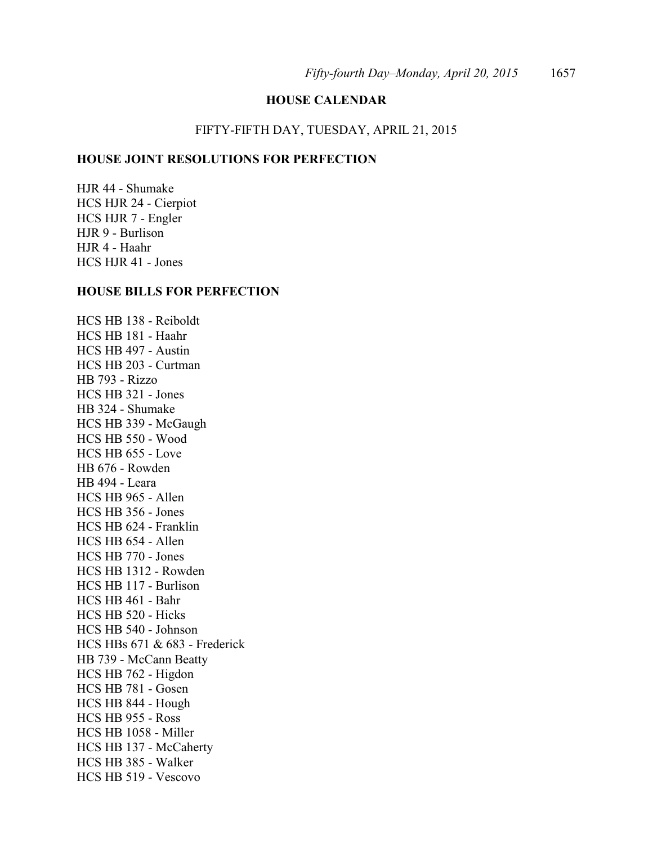### **HOUSE CALENDAR**

#### FIFTY-FIFTH DAY, TUESDAY, APRIL 21, 2015

### **HOUSE JOINT RESOLUTIONS FOR PERFECTION**

HJR 44 - Shumake HCS HJR 24 - Cierpiot HCS HJR 7 - Engler HJR 9 - Burlison HJR 4 - Haahr HCS HJR 41 - Jones

#### **HOUSE BILLS FOR PERFECTION**

HCS HB 138 - Reiboldt HCS HB 181 - Haahr HCS HB 497 - Austin HCS HB 203 - Curtman HB 793 - Rizzo HCS HB 321 - Jones HB 324 - Shumake HCS HB 339 - McGaugh HCS HB 550 - Wood HCS HB 655 - Love HB 676 - Rowden HB 494 - Leara HCS HB 965 - Allen HCS HB 356 - Jones HCS HB 624 - Franklin HCS HB 654 - Allen HCS HB 770 - Jones HCS HB 1312 - Rowden HCS HB 117 - Burlison HCS HB 461 - Bahr HCS HB 520 - Hicks HCS HB 540 - Johnson HCS HBs 671 & 683 - Frederick HB 739 - McCann Beatty HCS HB 762 - Higdon HCS HB 781 - Gosen HCS HB 844 - Hough HCS HB 955 - Ross HCS HB 1058 - Miller HCS HB 137 - McCaherty HCS HB 385 - Walker HCS HB 519 - Vescovo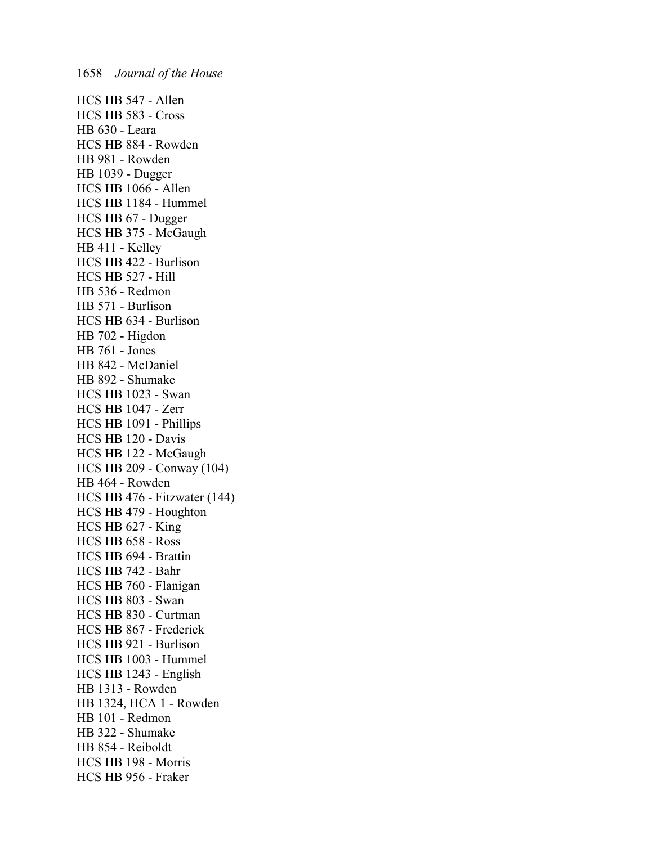HCS HB 547 - Allen HCS HB 583 - Cross HB 630 - Leara HCS HB 884 - Rowden HB 981 - Rowden HB 1039 - Dugger HCS HB 1066 - Allen HCS HB 1184 - Hummel HCS HB 67 - Dugger HCS HB 375 - McGaugh HB 411 - Kelley HCS HB 422 - Burlison HCS HB 527 - Hill HB 536 - Redmon HB 571 - Burlison HCS HB 634 - Burlison HB 702 - Higdon HB 761 - Jones HB 842 - McDaniel HB 892 - Shumake HCS HB 1023 - Swan HCS HB 1047 - Zerr HCS HB 1091 - Phillips HCS HB 120 - Davis HCS HB 122 - McGaugh HCS HB 209 - Conway (104) HB 464 - Rowden HCS HB 476 - Fitzwater (144) HCS HB 479 - Houghton HCS HB 627 - King HCS HB 658 - Ross HCS HB 694 - Brattin HCS HB 742 - Bahr HCS HB 760 - Flanigan HCS HB 803 - Swan HCS HB 830 - Curtman HCS HB 867 - Frederick HCS HB 921 - Burlison HCS HB 1003 - Hummel HCS HB 1243 - English HB 1313 - Rowden HB 1324, HCA 1 - Rowden HB 101 - Redmon HB 322 - Shumake HB 854 - Reiboldt HCS HB 198 - Morris HCS HB 956 - Fraker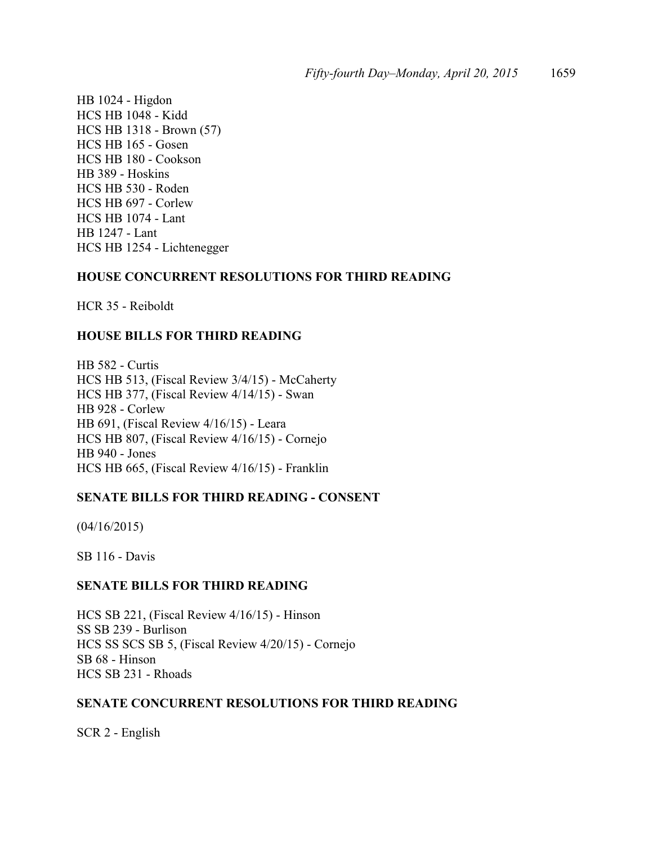HB 1024 - Higdon HCS HB 1048 - Kidd HCS HB 1318 - Brown (57) HCS HB 165 - Gosen HCS HB 180 - Cookson HB 389 - Hoskins HCS HB 530 - Roden HCS HB 697 - Corlew HCS HB 1074 - Lant HB 1247 - Lant HCS HB 1254 - Lichtenegger

### **HOUSE CONCURRENT RESOLUTIONS FOR THIRD READING**

HCR 35 - Reiboldt

### **HOUSE BILLS FOR THIRD READING**

HB 582 - Curtis HCS HB 513, (Fiscal Review 3/4/15) - McCaherty HCS HB 377, (Fiscal Review 4/14/15) - Swan HB 928 - Corlew HB 691, (Fiscal Review 4/16/15) - Leara HCS HB 807, (Fiscal Review 4/16/15) - Cornejo HB 940 - Jones HCS HB 665, (Fiscal Review 4/16/15) - Franklin

### **SENATE BILLS FOR THIRD READING - CONSENT**

(04/16/2015)

SB 116 - Davis

### **SENATE BILLS FOR THIRD READING**

HCS SB 221, (Fiscal Review 4/16/15) - Hinson SS SB 239 - Burlison HCS SS SCS SB 5, (Fiscal Review 4/20/15) - Cornejo SB 68 - Hinson HCS SB 231 - Rhoads

### **SENATE CONCURRENT RESOLUTIONS FOR THIRD READING**

SCR 2 - English